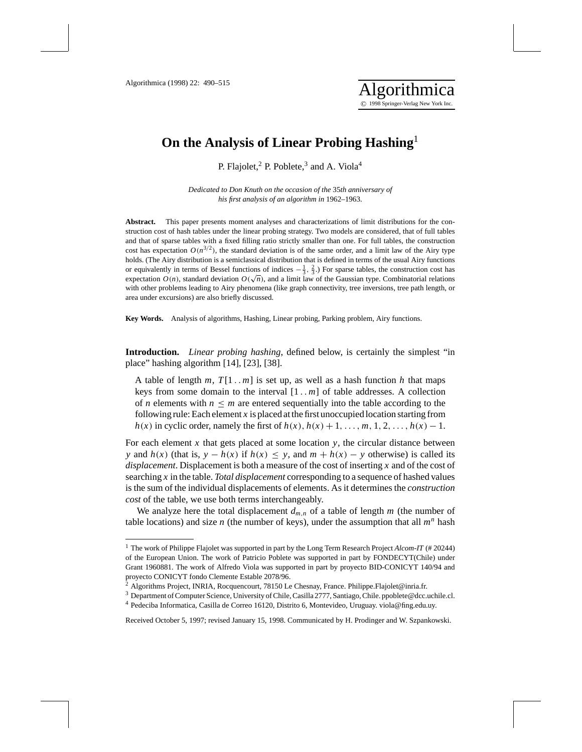## **On the Analysis of Linear Probing Hashing**<sup>1</sup>

P. Flajolet,<sup>2</sup> P. Poblete,<sup>3</sup> and A. Viola<sup>4</sup>

*Dedicated to Don Knuth on the occasion of the* 35*th anniversary of his first analysis of an algorithm in* 1962*–*1963.

**Abstract.** This paper presents moment analyses and characterizations of limit distributions for the construction cost of hash tables under the linear probing strategy. Two models are considered, that of full tables and that of sparse tables with a fixed filling ratio strictly smaller than one. For full tables, the construction cost has expectation  $O(n^{3/2})$ , the standard deviation is of the same order, and a limit law of the Airy type holds. (The Airy distribution is a semiclassical distribution that is defined in terms of the usual Airy functions or equivalently in terms of Bessel functions of indices  $-\frac{1}{3}$ ,  $\frac{2}{3}$ .) For sparse tables, the construction cost has expectation  $O(n)$ , standard deviation  $O(\sqrt{n})$ , and a limit law of the Gaussian type. Combinatorial relations expectation  $O(n)$ , standard deviation  $O(\sqrt{n})$ , and a limit law of the Gaussian type. Combinatorial relations with other problems leading to Airy phenomena (like graph connectivity, tree inversions, tree path length, or area under excursions) are also briefly discussed.

**Key Words.** Analysis of algorithms, Hashing, Linear probing, Parking problem, Airy functions.

**Introduction.** *Linear probing hashing*, defined below, is certainly the simplest "in place" hashing algorithm [14], [23], [38].

A table of length  $m$ ,  $T[1..m]$  is set up, as well as a hash function  $h$  that maps keys from some domain to the interval  $[1..m]$  of table addresses. A collection of *n* elements with  $n \leq m$  are entered sequentially into the table according to the following rule: Each element *x* is placed at the first unoccupied location starting from *h*(*x*) in cyclic order, namely the first of  $h(x)$ ,  $h(x) + 1, \ldots, m, 1, 2, \ldots, h(x) - 1$ .

For each element x that gets placed at some location  $y$ , the circular distance between *y* and  $h(x)$  (that is,  $y - h(x)$  if  $h(x) \leq y$ , and  $m + h(x) - y$  otherwise) is called its *displacement*. Displacement is both a measure of the cost of inserting *x* and of the cost of searching *x* in the table. *Total displacement* corresponding to a sequence of hashed values is the sum of the individual displacements of elements. As it determines the *construction cost* of the table, we use both terms interchangeably.

We analyze here the total displacement  $d_{m,n}$  of a table of length  $m$  (the number of table locations) and size  $n$  (the number of keys), under the assumption that all  $m<sup>n</sup>$  hash

Received October 5, 1997; revised January 15, 1998. Communicated by H. Prodinger and W. Szpankowski.

<sup>1</sup> The work of Philippe Flajolet was supported in part by the Long Term Research Project *Alcom-IT* (# 20244) of the European Union. The work of Patricio Poblete was supported in part by FONDECYT(Chile) under Grant 1960881. The work of Alfredo Viola was supported in part by proyecto BID-CONICYT 140/94 and proyecto CONICYT fondo Clemente Estable 2078/96.

<sup>&</sup>lt;sup>2</sup> Algorithms Project, INRIA, Rocquencourt, 78150 Le Chesnay, France. Philippe. Flajolet@inria.fr.

<sup>3</sup> Department of Computer Science, University of Chile, Casilla 2777, Santiago, Chile. ppoblete@dcc.uchile.cl.

<sup>4</sup> Pedeciba Informatica, Casilla de Correo 16120, Distrito 6, Montevideo, Uruguay. viola@fing.edu.uy.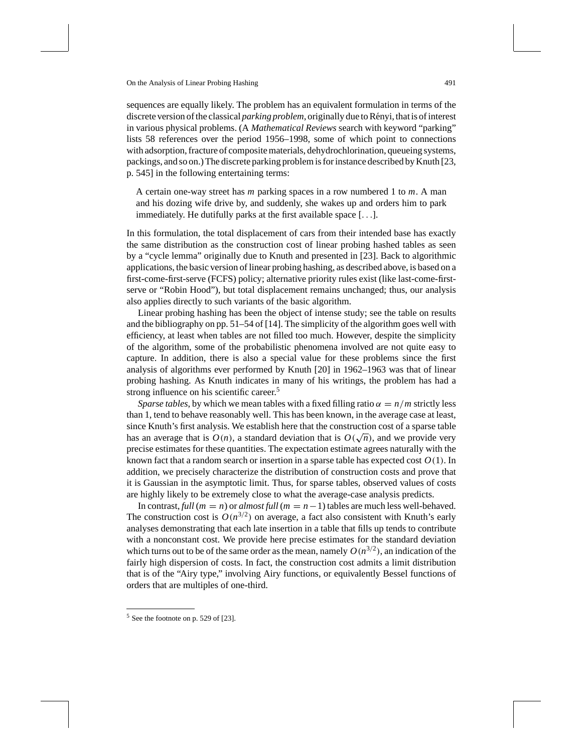sequences are equally likely. The problem has an equivalent formulation in terms of the discrete version of the classical *parking problem*, originally due to Rényi, that is of interest in various physical problems. (A *Mathematical Reviews* search with keyword "parking" lists 58 references over the period 1956–1998, some of which point to connections with adsorption, fracture of composite materials, dehydrochlorination, queueing systems, packings, and so on.) The discrete parking problem is for instance described by Knuth [23, p. 545] in the following entertaining terms:

A certain one-way street has *m* parking spaces in a row numbered 1 to *m*. A man and his dozing wife drive by, and suddenly, she wakes up and orders him to park immediately. He dutifully parks at the first available space [...].

In this formulation, the total displacement of cars from their intended base has exactly the same distribution as the construction cost of linear probing hashed tables as seen by a "cycle lemma" originally due to Knuth and presented in [23]. Back to algorithmic applications, the basic version of linear probing hashing, as described above, is based on a first-come-first-serve (FCFS) policy; alternative priority rules exist (like last-come-firstserve or "Robin Hood"), but total displacement remains unchanged; thus, our analysis also applies directly to such variants of the basic algorithm.

Linear probing hashing has been the object of intense study; see the table on results and the bibliography on pp. 51–54 of [14]. The simplicity of the algorithm goes well with efficiency, at least when tables are not filled too much. However, despite the simplicity of the algorithm, some of the probabilistic phenomena involved are not quite easy to capture. In addition, there is also a special value for these problems since the first analysis of algorithms ever performed by Knuth [20] in 1962–1963 was that of linear probing hashing. As Knuth indicates in many of his writings, the problem has had a strong influence on his scientific career.<sup>5</sup>

*Sparse tables*, by which we mean tables with a fixed filling ratio  $\alpha = n/m$  strictly less than 1, tend to behave reasonably well. This has been known, in the average case at least, since Knuth's first analysis. We establish here that the construction cost of a sparse table since Knuin s inst analysis. We establish here that the construction cost of a sparse table<br>has an average that is  $O(n)$ , a standard deviation that is  $O(\sqrt{n})$ , and we provide very precise estimates for these quantities. The expectation estimate agrees naturally with the known fact that a random search or insertion in a sparse table has expected cost *O*(1). In addition, we precisely characterize the distribution of construction costs and prove that it is Gaussian in the asymptotic limit. Thus, for sparse tables, observed values of costs are highly likely to be extremely close to what the average-case analysis predicts.

In contrast, *full* ( $m = n$ ) or *almost full* ( $m = n - 1$ ) tables are much less well-behaved. The construction cost is  $O(n^{3/2})$  on average, a fact also consistent with Knuth's early analyses demonstrating that each late insertion in a table that fills up tends to contribute with a nonconstant cost. We provide here precise estimates for the standard deviation which turns out to be of the same order as the mean, namely  $O(n^{3/2})$ , an indication of the fairly high dispersion of costs. In fact, the construction cost admits a limit distribution that is of the "Airy type," involving Airy functions, or equivalently Bessel functions of orders that are multiples of one-third.

 $5$  See the footnote on p. 529 of [23].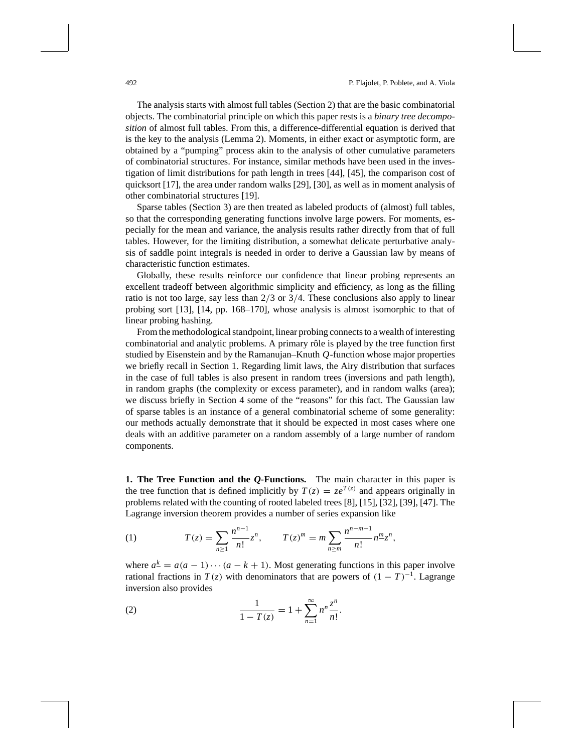The analysis starts with almost full tables (Section 2) that are the basic combinatorial objects. The combinatorial principle on which this paper rests is a *binary tree decomposition* of almost full tables. From this, a difference-differential equation is derived that is the key to the analysis (Lemma 2). Moments, in either exact or asymptotic form, are obtained by a "pumping" process akin to the analysis of other cumulative parameters of combinatorial structures. For instance, similar methods have been used in the investigation of limit distributions for path length in trees [44], [45], the comparison cost of quicksort [17], the area under random walks [29], [30], as well as in moment analysis of other combinatorial structures [19].

Sparse tables (Section 3) are then treated as labeled products of (almost) full tables, so that the corresponding generating functions involve large powers. For moments, especially for the mean and variance, the analysis results rather directly from that of full tables. However, for the limiting distribution, a somewhat delicate perturbative analysis of saddle point integrals is needed in order to derive a Gaussian law by means of characteristic function estimates.

Globally, these results reinforce our confidence that linear probing represents an excellent tradeoff between algorithmic simplicity and efficiency, as long as the filling ratio is not too large, say less than  $2/3$  or  $3/4$ . These conclusions also apply to linear probing sort [13], [14, pp. 168–170], whose analysis is almost isomorphic to that of linear probing hashing.

From the methodological standpoint, linear probing connects to a wealth of interesting combinatorial and analytic problems. A primary rôle is played by the tree function first studied by Eisenstein and by the Ramanujan–Knuth *Q*-function whose major properties we briefly recall in Section 1. Regarding limit laws, the Airy distribution that surfaces in the case of full tables is also present in random trees (inversions and path length), in random graphs (the complexity or excess parameter), and in random walks (area); we discuss briefly in Section 4 some of the "reasons" for this fact. The Gaussian law of sparse tables is an instance of a general combinatorial scheme of some generality: our methods actually demonstrate that it should be expected in most cases where one deals with an additive parameter on a random assembly of a large number of random components.

**1. The Tree Function and the** *Q***-Functions.** The main character in this paper is the tree function that is defined implicitly by  $T(z) = ze^{T(z)}$  and appears originally in problems related with the counting of rooted labeled trees [8], [15], [32], [39], [47]. The Lagrange inversion theorem provides a number of series expansion like

(1) 
$$
T(z) = \sum_{n \ge 1} \frac{n^{n-1}}{n!} z^n, \qquad T(z)^m = m \sum_{n \ge m} \frac{n^{n-m-1}}{n!} n^m z^n,
$$

where  $a^{\underline{k}} = a(a-1)\cdots(a-k+1)$ . Most generating functions in this paper involve rational fractions in  $T(z)$  with denominators that are powers of  $(1 - T)^{-1}$ . Lagrange inversion also provides

(2) 
$$
\frac{1}{1 - T(z)} = 1 + \sum_{n=1}^{\infty} n^n \frac{z^n}{n!}.
$$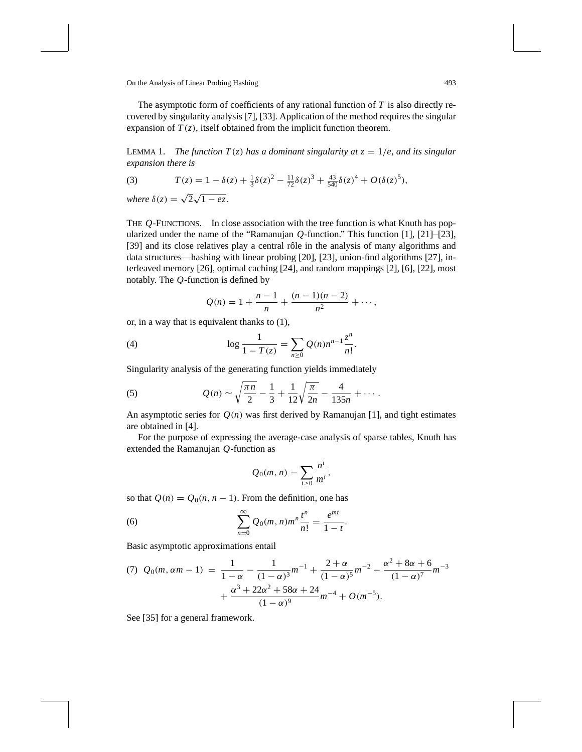The asymptotic form of coefficients of any rational function of *T* is also directly recovered by singularity analysis [7], [33]. Application of the method requires the singular expansion of  $T(z)$ , itself obtained from the implicit function theorem.

LEMMA 1. *The function T(z) has a dominant singularity at*  $z = 1/e$ *, and its singular expansion there is*

(3) 
$$
T(z) = 1 - \delta(z) + \frac{1}{3}\delta(z)^2 - \frac{11}{72}\delta(z)^3 + \frac{43}{540}\delta(z)^4 + O(\delta(z)^5),
$$

*where*  $\delta(z) = \sqrt{2}\sqrt{1 - ez}$ .

THE *Q*-FUNCTIONS. In close association with the tree function is what Knuth has popularized under the name of the "Ramanujan *Q*-function." This function [1], [21]–[23], [39] and its close relatives play a central rôle in the analysis of many algorithms and data structures—hashing with linear probing [20], [23], union-find algorithms [27], interleaved memory [26], optimal caching [24], and random mappings [2], [6], [22], most notably. The *Q*-function is defined by

$$
Q(n) = 1 + \frac{n-1}{n} + \frac{(n-1)(n-2)}{n^2} + \cdots,
$$

or, in a way that is equivalent thanks to (1),

(4) 
$$
\log \frac{1}{1 - T(z)} = \sum_{n \ge 0} Q(n) n^{n-1} \frac{z^n}{n!}.
$$

Singularity analysis of the generating function yields immediately

(5) 
$$
Q(n) \sim \sqrt{\frac{\pi n}{2}} - \frac{1}{3} + \frac{1}{12} \sqrt{\frac{\pi}{2n}} - \frac{4}{135n} + \cdots
$$

An asymptotic series for  $Q(n)$  was first derived by Ramanujan [1], and tight estimates are obtained in [4].

For the purpose of expressing the average-case analysis of sparse tables, Knuth has extended the Ramanujan *Q*-function as

$$
Q_0(m,n)=\sum_{i\geq 0}\frac{n^{\underline{i}}}{m^i},
$$

so that  $Q(n) = Q_0(n, n - 1)$ . From the definition, one has

(6) 
$$
\sum_{n=0}^{\infty} Q_0(m, n) m^n \frac{t^n}{n!} = \frac{e^{mt}}{1-t}.
$$

Basic asymptotic approximations entail

(7) 
$$
Q_0(m, \alpha m - 1) = \frac{1}{1 - \alpha} - \frac{1}{(1 - \alpha)^3} m^{-1} + \frac{2 + \alpha}{(1 - \alpha)^5} m^{-2} - \frac{\alpha^2 + 8\alpha + 6}{(1 - \alpha)^7} m^{-3}
$$
  
  $+ \frac{\alpha^3 + 22\alpha^2 + 58\alpha + 24}{(1 - \alpha)^9} m^{-4} + O(m^{-5}).$ 

See [35] for a general framework.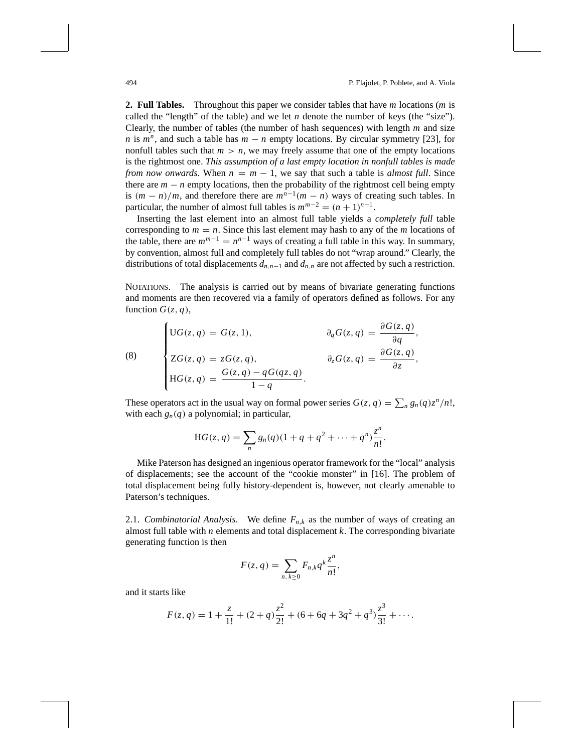**2. Full Tables.** Throughout this paper we consider tables that have *m* locations (*m* is called the "length" of the table) and we let *n* denote the number of keys (the "size"). Clearly, the number of tables (the number of hash sequences) with length *m* and size *n* is  $m^n$ , and such a table has  $m - n$  empty locations. By circular symmetry [23], for nonfull tables such that  $m > n$ , we may freely assume that one of the empty locations is the rightmost one. *This assumption of a last empty location in nonfull tables is made from now onwards*. When  $n = m - 1$ , we say that such a table is *almost full*. Since there are  $m - n$  empty locations, then the probability of the rightmost cell being empty is  $(m - n)/m$ , and therefore there are  $m^{n-1}(m - n)$  ways of creating such tables. In particular, the number of almost full tables is  $m^{m-2} = (n+1)^{n-1}$ .

Inserting the last element into an almost full table yields a *completely full* table corresponding to  $m = n$ . Since this last element may hash to any of the *m* locations of the table, there are  $m^{m-1} = n^{n-1}$  ways of creating a full table in this way. In summary, by convention, almost full and completely full tables do not "wrap around." Clearly, the distributions of total displacements  $d_{n,n-1}$  and  $d_{n,n}$  are not affected by such a restriction.

NOTATIONS. The analysis is carried out by means of bivariate generating functions and moments are then recovered via a family of operators defined as follows. For any function  $G(z, q)$ ,

$$
(\bar{8})
$$

$$
\begin{cases}\n\text{UG}(z,q) = G(z,1), & \partial_q G(z,q) = \frac{\partial G(z,q)}{\partial q}, \\
\text{ZG}(z,q) = zG(z,q), & \partial_z G(z,q) = \frac{\partial G(z,q)}{\partial z}, \\
\text{HG}(z,q) = \frac{G(z,q) - qG(qz,q)}{1-q}.\n\end{cases}
$$

These operators act in the usual way on formal power series  $G(z, q) = \sum_{n} g_n(q) z^n / n!$ , with each  $g_n(q)$  a polynomial; in particular,

$$
HG(z, q) = \sum_{n} g_n(q)(1 + q + q^2 + \dots + q^n) \frac{z^n}{n!}.
$$

Mike Paterson has designed an ingenious operator framework for the "local" analysis of displacements; see the account of the "cookie monster" in [16]. The problem of total displacement being fully history-dependent is, however, not clearly amenable to Paterson's techniques.

2.1. *Combinatorial Analysis*. We define  $F_{n,k}$  as the number of ways of creating an almost full table with *n* elements and total displacement *k*. The corresponding bivariate generating function is then

$$
F(z,q)=\sum_{n,k\geq 0}F_{n,k}q^k\frac{z^n}{n!},
$$

and it starts like

$$
F(z,q) = 1 + \frac{z}{1!} + (2+q)\frac{z^2}{2!} + (6+6q+3q^2+q^3)\frac{z^3}{3!} + \cdots
$$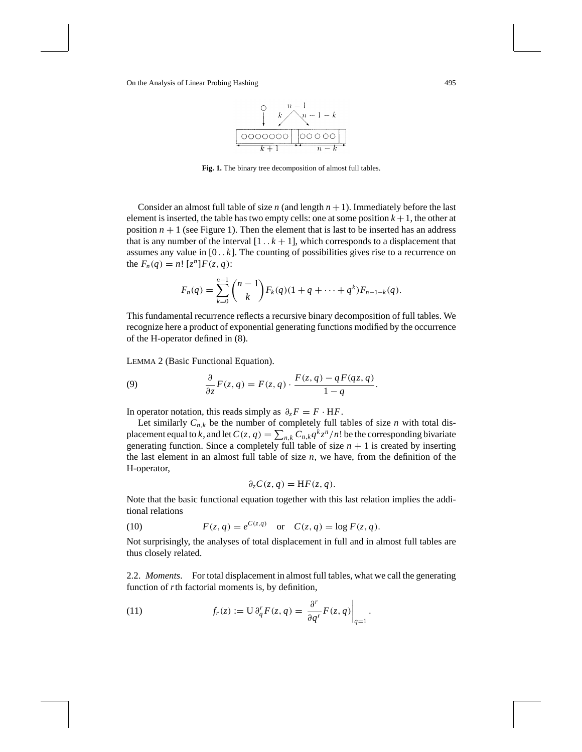

**Fig. 1.** The binary tree decomposition of almost full tables.

Consider an almost full table of size *n* (and length  $n + 1$ ). Immediately before the last element is inserted, the table has two empty cells: one at some position  $k + 1$ , the other at position  $n + 1$  (see Figure 1). Then the element that is last to be inserted has an address that is any number of the interval  $[1 \tcdot k + 1]$ , which corresponds to a displacement that assumes any value in  $[0 \tcdot k]$ . The counting of possibilities gives rise to a recurrence on the  $F_n(q) = n! [z^n] F(z, q)$ :

$$
F_n(q) = \sum_{k=0}^{n-1} {n-1 \choose k} F_k(q) (1 + q + \cdots + q^k) F_{n-1-k}(q).
$$

This fundamental recurrence reflects a recursive binary decomposition of full tables. We recognize here a product of exponential generating functions modified by the occurrence of the H-operator defined in (8).

LEMMA 2 (Basic Functional Equation).

(9) 
$$
\frac{\partial}{\partial z}F(z,q) = F(z,q) \cdot \frac{F(z,q) - qF(qz,q)}{1-q}.
$$

In operator notation, this reads simply as  $\partial_z F = F \cdot HF$ .

Let similarly  $C_{n,k}$  be the number of completely full tables of size *n* with total displacement equal to *k*, and let  $C(z, q) = \sum_{n,k} C_{n,k} q^k z^n / n!$  be the corresponding bivariate generating function. Since a completely full table of size  $n + 1$  is created by inserting the last element in an almost full table of size  $n$ , we have, from the definition of the H-operator,

$$
\partial_z C(z,q) = HF(z,q).
$$

Note that the basic functional equation together with this last relation implies the additional relations

(10) 
$$
F(z, q) = e^{C(z,q)} \text{ or } C(z, q) = \log F(z, q).
$$

Not surprisingly, the analyses of total displacement in full and in almost full tables are thus closely related.

2.2. *Moments*. For total displacement in almost full tables, what we call the generating function of *r*th factorial moments is, by definition,

(11) 
$$
f_r(z) := U \partial_q^r F(z, q) = \frac{\partial^r}{\partial q^r} F(z, q) \Big|_{q=1}.
$$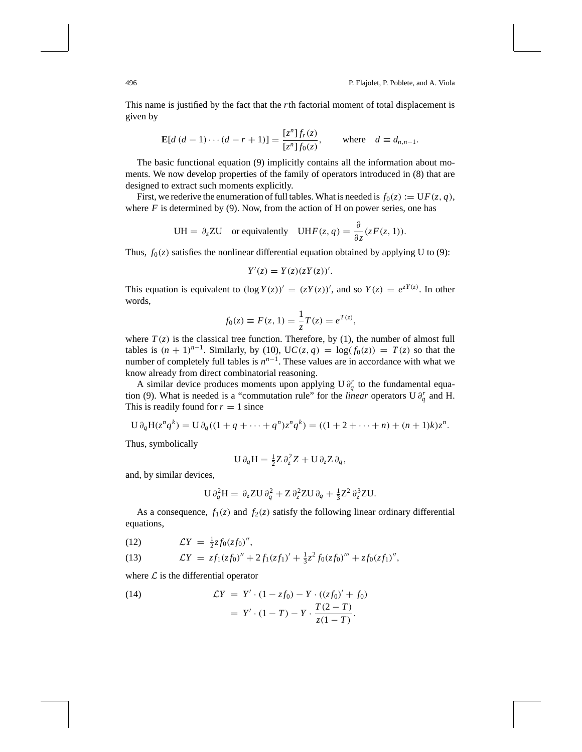This name is justified by the fact that the *r*th factorial moment of total displacement is given by

$$
\mathbf{E}[d (d-1) \cdots (d - r + 1)] = \frac{[z^n] f_r(z)}{[z^n] f_0(z)}, \quad \text{where} \quad d \equiv d_{n,n-1}.
$$

The basic functional equation (9) implicitly contains all the information about moments. We now develop properties of the family of operators introduced in (8) that are designed to extract such moments explicitly.

First, we rederive the enumeration of full tables. What is needed is  $f_0(z) := U F(z, q)$ , where  $F$  is determined by (9). Now, from the action of H on power series, one has

$$
UH = \partial_z ZU \quad \text{or equivalently} \quad UHF(z, q) = \frac{\partial}{\partial z}(zF(z, 1)).
$$

Thus,  $f_0(z)$  satisfies the nonlinear differential equation obtained by applying U to (9):

$$
Y'(z) = Y(z)(zY(z))'.
$$

This equation is equivalent to  $(\log Y(z))' = (zY(z))'$ , and so  $Y(z) = e^{zY(z)}$ . In other words,

$$
f_0(z) \equiv F(z, 1) = \frac{1}{z}T(z) = e^{T(z)},
$$

where  $T(z)$  is the classical tree function. Therefore, by (1), the number of almost full tables is  $(n + 1)^{n-1}$ . Similarly, by (10), UC(*z*, *q*) = log( $f_0(z)$ ) =  $T(z)$  so that the number of completely full tables is  $n^{n-1}$ . These values are in accordance with what we know already from direct combinatorial reasoning.

A similar device produces moments upon applying U  $\partial_q^r$  to the fundamental equation (9). What is needed is a "commutation rule" for the *linear* operators U  $\partial_q^r$  and H. This is readily found for  $r = 1$  since

$$
U \partial_q H(z^n q^k) = U \partial_q ((1 + q + \dots + q^n) z^n q^k) = ((1 + 2 + \dots + n) + (n + 1)k) z^n.
$$

Thus, symbolically

$$
U \partial_q H = \frac{1}{2} Z \partial_z^2 Z + U \partial_z Z \partial_q,
$$

and, by similar devices,

$$
U \partial_q^2 H = \partial_z Z U \partial_q^2 + Z \partial_z^2 Z U \partial_q + \frac{1}{3} Z^2 \partial_z^3 Z U.
$$

As a consequence,  $f_1(z)$  and  $f_2(z)$  satisfy the following linear ordinary differential equations,

$$
(12) \hspace{1cm} \mathcal{L}Y = \tfrac{1}{2}zf_0(zf_0)'',
$$

(13) 
$$
\mathcal{L}Y = z f_1 (z f_0)'' + 2 f_1 (z f_1)' + \frac{1}{3} z^2 f_0 (z f_0)''' + z f_0 (z f_1)'',
$$

where  $\mathcal L$  is the differential operator

(14) 
$$
\mathcal{L}Y = Y' \cdot (1 - z f_0) - Y \cdot ((z f_0)' + f_0) \n= Y' \cdot (1 - T) - Y \cdot \frac{T(2 - T)}{z(1 - T)}.
$$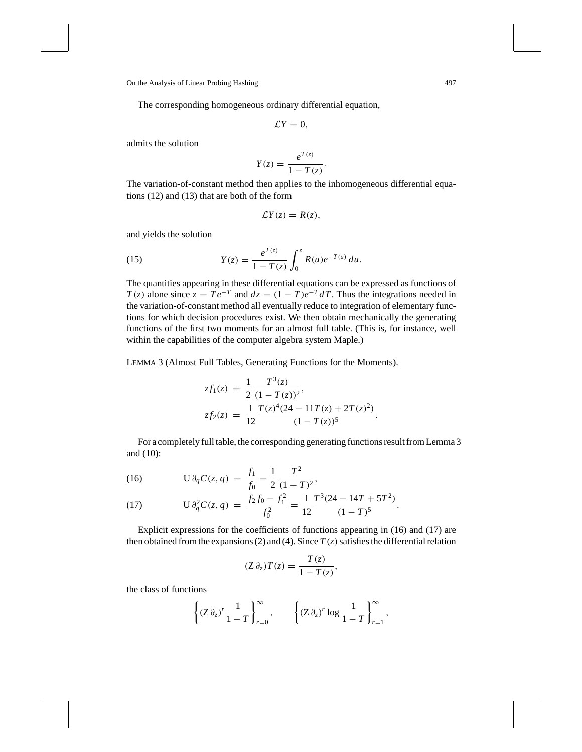The corresponding homogeneous ordinary differential equation,

$$
\mathcal{L}Y=0,
$$

admits the solution

$$
Y(z) = \frac{e^{T(z)}}{1 - T(z)}.
$$

The variation-of-constant method then applies to the inhomogeneous differential equations (12) and (13) that are both of the form

$$
\mathcal{L}Y(z)=R(z),
$$

and yields the solution

(15) 
$$
Y(z) = \frac{e^{T(z)}}{1 - T(z)} \int_0^z R(u)e^{-T(u)} du.
$$

The quantities appearing in these differential equations can be expressed as functions of *T*(*z*) alone since  $z = Te^{-T}$  and  $dz = (1 - T)e^{-T} dT$ . Thus the integrations needed in the variation-of-constant method all eventually reduce to integration of elementary functions for which decision procedures exist. We then obtain mechanically the generating functions of the first two moments for an almost full table. (This is, for instance, well within the capabilities of the computer algebra system Maple.)

LEMMA 3 (Almost Full Tables, Generating Functions for the Moments).

$$
zf_1(z) = \frac{1}{2} \frac{T^3(z)}{(1 - T(z))^2},
$$
  
\n
$$
zf_2(z) = \frac{1}{12} \frac{T(z)^4(24 - 11T(z) + 2T(z)^2)}{(1 - T(z))^5}.
$$

For a completely full table, the corresponding generating functions result from Lemma 3 and (10):

(16) 
$$
U \partial_q C(z, q) = \frac{f_1}{f_0} = \frac{1}{2} \frac{T^2}{(1 - T)^2},
$$

(17) 
$$
\qquad \qquad \mathrm{U}\,\partial_q^2 C(z,q) \;=\; \frac{f_2f_0 - f_1^2}{f_0^2} = \frac{1}{12} \frac{T^3(24 - 14T + 5T^2)}{(1 - T)^5}.
$$

Explicit expressions for the coefficients of functions appearing in (16) and (17) are then obtained from the expansions (2) and (4). Since  $T(z)$  satisfies the differential relation

$$
(Z \partial_z) T(z) = \frac{T(z)}{1 - T(z)},
$$

the class of functions

$$
\left\{ (Z \partial_z)^r \frac{1}{1-T} \right\}_{r=0}^{\infty}, \qquad \left\{ (Z \partial_z)^r \log \frac{1}{1-T} \right\}_{r=1}^{\infty},
$$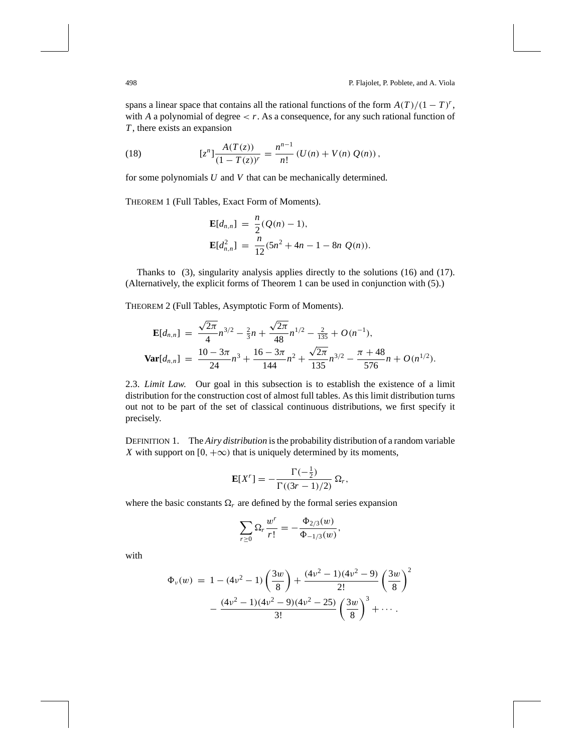spans a linear space that contains all the rational functions of the form  $A(T)/(1 - T)^r$ , with *A* a polynomial of degree  $\lt r$ . As a consequence, for any such rational function of *T* , there exists an expansion

(18) 
$$
[z^{n}] \frac{A(T(z))}{(1 - T(z))^{r}} = \frac{n^{n-1}}{n!} (U(n) + V(n) Q(n)),
$$

for some polynomials *U* and *V* that can be mechanically determined.

THEOREM 1 (Full Tables, Exact Form of Moments).

$$
\mathbf{E}[d_{n,n}] = \frac{n}{2}(Q(n) - 1),
$$
  
\n
$$
\mathbf{E}[d_{n,n}^2] = \frac{n}{12}(5n^2 + 4n - 1 - 8n Q(n)).
$$

Thanks to (3), singularity analysis applies directly to the solutions (16) and (17). (Alternatively, the explicit forms of Theorem 1 can be used in conjunction with (5).)

THEOREM 2 (Full Tables, Asymptotic Form of Moments).

$$
\mathbf{E}[d_{n,n}] = \frac{\sqrt{2\pi}}{4}n^{3/2} - \frac{2}{3}n + \frac{\sqrt{2\pi}}{48}n^{1/2} - \frac{2}{135} + O(n^{-1}),
$$
  

$$
\mathbf{Var}[d_{n,n}] = \frac{10 - 3\pi}{24}n^3 + \frac{16 - 3\pi}{144}n^2 + \frac{\sqrt{2\pi}}{135}n^{3/2} - \frac{\pi + 48}{576}n + O(n^{1/2}).
$$

2.3. *Limit Law*. Our goal in this subsection is to establish the existence of a limit distribution for the construction cost of almost full tables. As this limit distribution turns out not to be part of the set of classical continuous distributions, we first specify it precisely.

DEFINITION 1. The *Airy distribution* is the probability distribution of a random variable *X* with support on [0,  $+\infty$ ) that is uniquely determined by its moments,

$$
\mathbf{E}[X^r] = -\frac{\Gamma(-\frac{1}{2})}{\Gamma((3r-1)/2)} \,\Omega_r,
$$

where the basic constants  $\Omega_r$  are defined by the formal series expansion

$$
\sum_{r\geq 0} \Omega_r \frac{w^r}{r!} = -\frac{\Phi_{2/3}(w)}{\Phi_{-1/3}(w)},
$$

with

$$
\Phi_{\nu}(w) = 1 - (4\nu^2 - 1)\left(\frac{3w}{8}\right) + \frac{(4\nu^2 - 1)(4\nu^2 - 9)}{2!}\left(\frac{3w}{8}\right)^2 - \frac{(4\nu^2 - 1)(4\nu^2 - 9)(4\nu^2 - 25)}{3!}\left(\frac{3w}{8}\right)^3 + \cdots
$$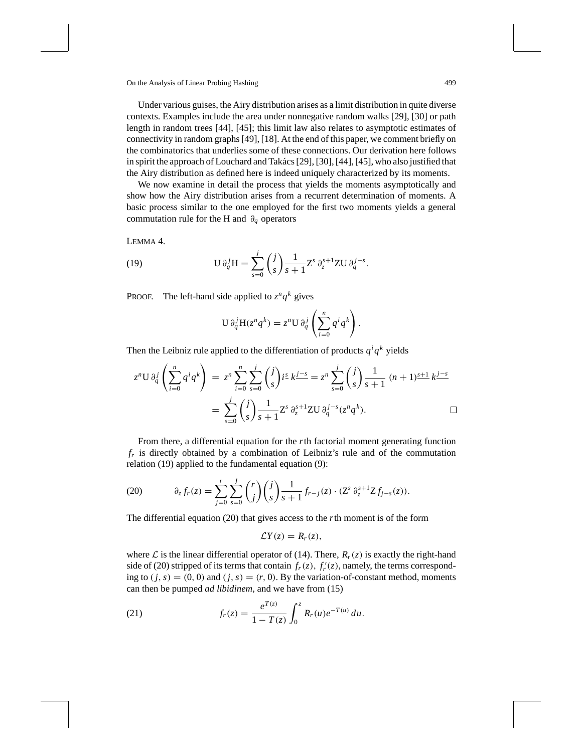Under various guises, the Airy distribution arises as a limit distribution in quite diverse contexts. Examples include the area under nonnegative random walks [29], [30] or path length in random trees [44], [45]; this limit law also relates to asymptotic estimates of connectivity in random graphs [49], [18]. At the end of this paper, we comment briefly on the combinatorics that underlies some of these connections. Our derivation here follows in spirit the approach of Louchard and Takács [29], [30], [44], [45], who also justified that the Airy distribution as defined here is indeed uniquely characterized by its moments.

We now examine in detail the process that yields the moments asymptotically and show how the Airy distribution arises from a recurrent determination of moments. A basic process similar to the one employed for the first two moments yields a general commutation rule for the H and ∂*<sup>q</sup>* operators

LEMMA 4.

(19) 
$$
U \partial_q^j H = \sum_{s=0}^j {j \choose s} \frac{1}{s+1} Z^s \partial_z^{s+1} Z U \partial_q^{j-s}.
$$

PROOF. The left-hand side applied to  $z^n q^k$  gives

$$
U \partial_q^j H(z^n q^k) = z^n U \partial_q^j \left( \sum_{i=0}^n q^i q^k \right).
$$

Then the Leibniz rule applied to the differentiation of products  $q^i q^k$  yields

$$
z^{n}U \partial_{q}^{j} \left( \sum_{i=0}^{n} q^{i} q^{k} \right) = z^{n} \sum_{i=0}^{n} \sum_{s=0}^{j} {j \choose s} i^{s} k^{j-s} = z^{n} \sum_{s=0}^{j} {j \choose s} \frac{1}{s+1} (n+1)^{s+1} k^{j-s}
$$

$$
= \sum_{s=0}^{j} {j \choose s} \frac{1}{s+1} Z^{s} \partial_{z}^{s+1} Z^{j} \partial_{q}^{j-s} (z^{n} q^{k}). \square
$$

From there, a differential equation for the *r*th factorial moment generating function *fr* is directly obtained by a combination of Leibniz's rule and of the commutation relation (19) applied to the fundamental equation (9):

(20) 
$$
\partial_z f_r(z) = \sum_{j=0}^r \sum_{s=0}^j \binom{r}{j} \binom{j}{s} \frac{1}{s+1} f_{r-j}(z) \cdot (\mathbf{Z}^s \partial_z^{s+1} \mathbf{Z} f_{j-s}(z)).
$$

The differential equation (20) that gives access to the *r*th moment is of the form

$$
\mathcal{L}Y(z)=R_r(z),
$$

where  $\mathcal L$  is the linear differential operator of (14). There,  $R_r(z)$  is exactly the right-hand side of (20) stripped of its terms that contain  $f_r(z)$ ,  $f'_r(z)$ , namely, the terms corresponding to  $(j, s) = (0, 0)$  and  $(j, s) = (r, 0)$ . By the variation-of-constant method, moments can then be pumped *ad libidinem*, and we have from (15)

(21) 
$$
f_r(z) = \frac{e^{T(z)}}{1 - T(z)} \int_0^z R_r(u) e^{-T(u)} du.
$$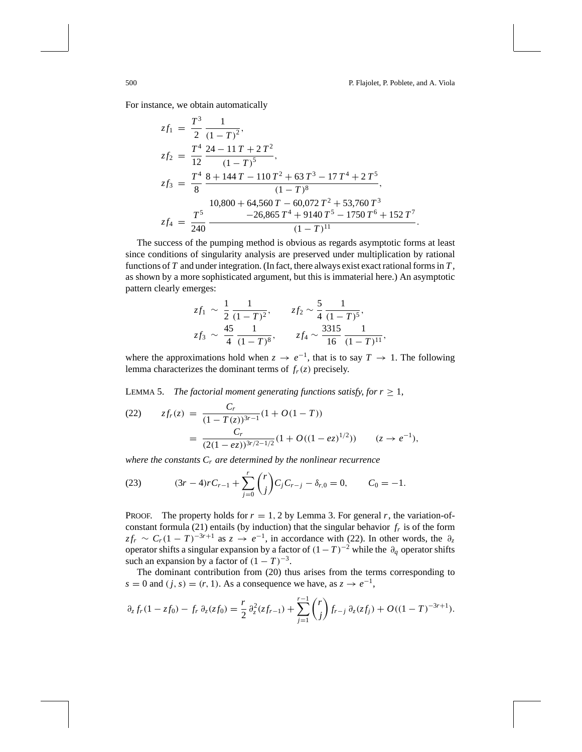For instance, we obtain automatically

$$
zf_1 = \frac{T^3}{2} \frac{1}{(1-T)^2},
$$
  
\n
$$
zf_2 = \frac{T^4}{12} \frac{24 - 11T + 2T^2}{(1-T)^5},
$$
  
\n
$$
zf_3 = \frac{T^4}{8} \frac{8 + 144T - 110T^2 + 63T^3 - 17T^4 + 2T^5}{(1-T)^8},
$$
  
\n
$$
\frac{10,800 + 64,560T - 60,072T^2 + 53,760T^3}{-26,865T^4 + 9140T^5 - 1750T^6 + 152T^7}.
$$

The success of the pumping method is obvious as regards asymptotic forms at least since conditions of singularity analysis are preserved under multiplication by rational functions of *T* and under integration. (In fact, there always exist exact rational forms in *T* , as shown by a more sophisticated argument, but this is immaterial here.) An asymptotic pattern clearly emerges:

$$
zf_1 \sim \frac{1}{2} \frac{1}{(1-T)^2},
$$
  $zf_2 \sim \frac{5}{4} \frac{1}{(1-T)^5},$   
 $zf_3 \sim \frac{45}{4} \frac{1}{(1-T)^8},$   $zf_4 \sim \frac{3315}{16} \frac{1}{(1-T)^1},$ 

where the approximations hold when  $z \to e^{-1}$ , that is to say  $T \to 1$ . The following lemma characterizes the dominant terms of  $f_r(z)$  precisely.

LEMMA 5. *The factorial moment generating functions satisfy, for*  $r \geq 1$ *,* 

(22) 
$$
zf_r(z) = \frac{C_r}{(1 - T(z))^{3r - 1}} (1 + O(1 - T))
$$

$$
= \frac{C_r}{(2(1 - ez))^{3r/2 - 1/2}} (1 + O((1 - ez)^{1/2})) \qquad (z \to e^{-1}),
$$

*where the constants Cr are determined by the nonlinear recurrence*

(23) 
$$
(3r-4)rC_{r-1} + \sum_{j=0}^{r} {r \choose j} C_j C_{r-j} - \delta_{r,0} = 0, \qquad C_0 = -1.
$$

PROOF. The property holds for  $r = 1, 2$  by Lemma 3. For general  $r$ , the variation-ofconstant formula (21) entails (by induction) that the singular behavior  $f<sub>r</sub>$  is of the form  $zf_r \sim C_r(1-T)^{-3r+1}$  as  $z \to e^{-1}$ , in accordance with (22). In other words, the  $\partial_z$ operator shifts a singular expansion by a factor of  $(1-T)^{-2}$  while the  $\partial_q$  operator shifts such an expansion by a factor of  $(1 - T)^{-3}$ .

The dominant contribution from (20) thus arises from the terms corresponding to *s* = 0 and (*j*, *s*) = (*r*, 1). As a consequence we have, as *z* →  $e^{-1}$ ,

$$
\partial_z f_r(1 - z f_0) - f_r \, \partial_z (z f_0) = \frac{r}{2} \, \partial_z^2 (z f_{r-1}) + \sum_{j=1}^{r-1} {r \choose j} f_{r-j} \, \partial_z (z f_j) + O((1 - T)^{-3r+1}).
$$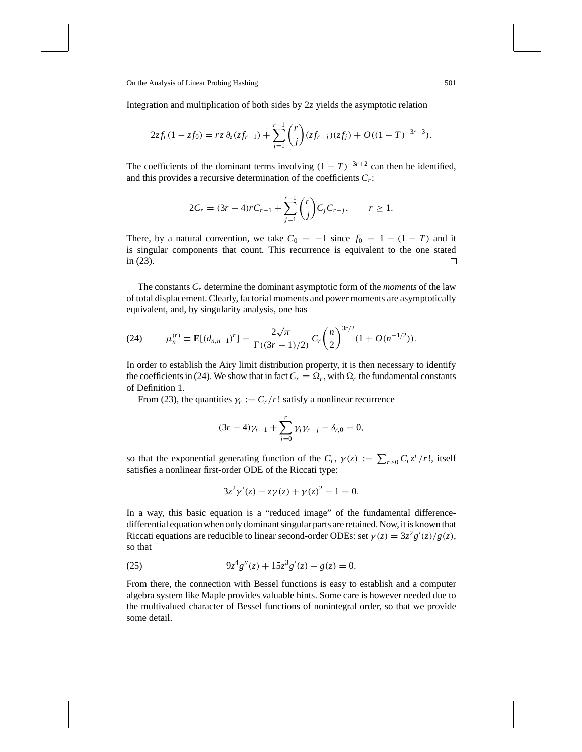Integration and multiplication of both sides by 2*z* yields the asymptotic relation

$$
2zf_r(1-zf_0)=rz\,\partial_z(zf_{r-1})+\sum_{j=1}^{r-1}\binom{r}{j}(zf_{r-j})(zf_j)+O((1-T)^{-3r+3}).
$$

The coefficients of the dominant terms involving  $(1 - T)^{-3r+2}$  can then be identified, and this provides a recursive determination of the coefficients *Cr*:

$$
2C_r = (3r - 4)rC_{r-1} + \sum_{j=1}^{r-1} {r \choose j} C_j C_{r-j}, \qquad r \ge 1.
$$

There, by a natural convention, we take  $C_0 = -1$  since  $f_0 = 1 - (1 - T)$  and it is singular components that count. This recurrence is equivalent to the one stated in (23). □

The constants *Cr* determine the dominant asymptotic form of the *moments* of the law of total displacement. Clearly, factorial moments and power moments are asymptotically equivalent, and, by singularity analysis, one has

(24) 
$$
\mu_n^{(r)} \equiv \mathbf{E}[(d_{n,n-1})^r] = \frac{2\sqrt{\pi}}{\Gamma((3r-1)/2)} C_r \left(\frac{n}{2}\right)^{3r/2} (1 + O(n^{-1/2})).
$$

In order to establish the Airy limit distribution property, it is then necessary to identify the coefficients in (24). We show that in fact  $C_r = \Omega_r$ , with  $\Omega_r$  the fundamental constants of Definition 1.

From (23), the quantities  $\gamma_r := C_r/r!$  satisfy a nonlinear recurrence

$$
(3r-4)\gamma_{r-1} + \sum_{j=0}^r \gamma_j \gamma_{r-j} - \delta_{r,0} = 0,
$$

so that the exponential generating function of the  $C_r$ ,  $\gamma(z) := \sum_{r \geq 0} C_r z^r / r!$ , itself satisfies a nonlinear first-order ODE of the Riccati type:

$$
3z^{2}\gamma'(z) - z\gamma(z) + \gamma(z)^{2} - 1 = 0.
$$

In a way, this basic equation is a "reduced image" of the fundamental differencedifferential equation when only dominant singular parts are retained. Now, it is known that Riccati equations are reducible to linear second-order ODEs: set  $\gamma(z) = 3z^2g'(z)/g(z)$ , so that

(25) 
$$
9z^4g''(z) + 15z^3g'(z) - g(z) = 0.
$$

From there, the connection with Bessel functions is easy to establish and a computer algebra system like Maple provides valuable hints. Some care is however needed due to the multivalued character of Bessel functions of nonintegral order, so that we provide some detail.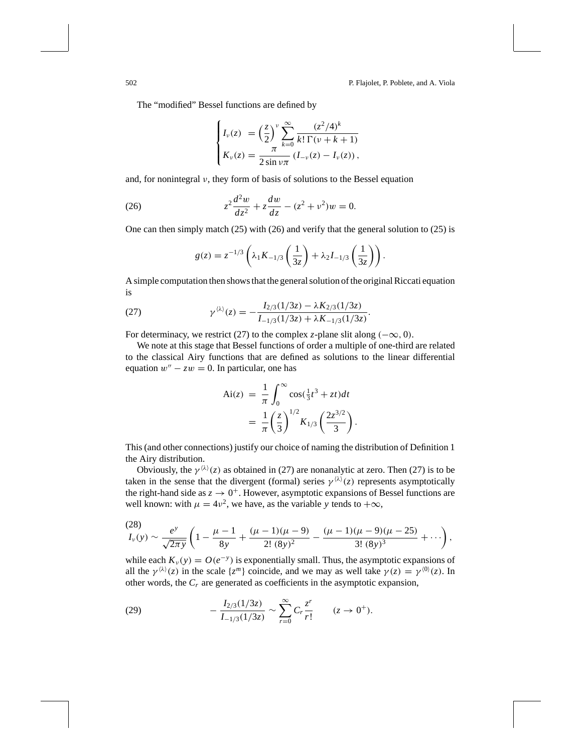The "modified" Bessel functions are defined by

$$
\begin{cases}\nI_{\nu}(z) = \left(\frac{z}{2}\right)^{\nu} \sum_{k=0}^{\infty} \frac{(z^2/4)^k}{k! \Gamma(\nu+k+1)} \\
K_{\nu}(z) = \frac{\pi}{2 \sin \nu \pi} (I_{-\nu}(z) - I_{\nu}(z)),\n\end{cases}
$$

and, for nonintegral  $\nu$ , they form of basis of solutions to the Bessel equation

(26) 
$$
z^2 \frac{d^2 w}{dz^2} + z \frac{dw}{dz} - (z^2 + v^2)w = 0.
$$

One can then simply match (25) with (26) and verify that the general solution to (25) is

$$
g(z) = z^{-1/3} \left( \lambda_1 K_{-1/3} \left( \frac{1}{3z} \right) + \lambda_2 I_{-1/3} \left( \frac{1}{3z} \right) \right).
$$

A simple computation then shows that the general solution of the original Riccati equation is

(27) 
$$
\gamma^{\langle \lambda \rangle}(z) = -\frac{I_{2/3}(1/3z) - \lambda K_{2/3}(1/3z)}{I_{-1/3}(1/3z) + \lambda K_{-1/3}(1/3z)}.
$$

For determinacy, we restrict (27) to the complex *z*-plane slit along  $(-\infty, 0)$ .

We note at this stage that Bessel functions of order a multiple of one-third are related to the classical Airy functions that are defined as solutions to the linear differential equation  $w'' - zw = 0$ . In particular, one has

$$
Ai(z) = \frac{1}{\pi} \int_0^\infty \cos(\frac{1}{3}t^3 + zt)dt
$$
  
= 
$$
\frac{1}{\pi} \left(\frac{z}{3}\right)^{1/2} K_{1/3} \left(\frac{2z^{3/2}}{3}\right).
$$

This (and other connections) justify our choice of naming the distribution of Definition 1 the Airy distribution.

Obviously, the  $\gamma^{(\lambda)}(z)$  as obtained in (27) are nonanalytic at zero. Then (27) is to be taken in the sense that the divergent (formal) series  $\gamma^{(\lambda)}(z)$  represents asymptotically the right-hand side as  $z \to 0^+$ . However, asymptotic expansions of Bessel functions are well known: with  $\mu = 4v^2$ , we have, as the variable *y* tends to  $+\infty$ ,

$$
\frac{(28)}{I_{\nu}(y)} \sim \frac{e^y}{\sqrt{2\pi y}} \left(1 - \frac{\mu - 1}{8y} + \frac{(\mu - 1)(\mu - 9)}{2! (8y)^2} - \frac{(\mu - 1)(\mu - 9)(\mu - 25)}{3! (8y)^3} + \cdots \right),
$$

while each  $K_{\nu}(y) = O(e^{-y})$  is exponentially small. Thus, the asymptotic expansions of all the  $\gamma^{(\lambda)}(z)$  in the scale  $\{z^m\}$  coincide, and we may as well take  $\gamma(z) = \gamma^{(0)}(z)$ . In other words, the *Cr* are generated as coefficients in the asymptotic expansion,

(29) 
$$
-\frac{I_{2/3}(1/3z)}{I_{-1/3}(1/3z)} \sim \sum_{r=0}^{\infty} C_r \frac{z^r}{r!} \qquad (z \to 0^+).
$$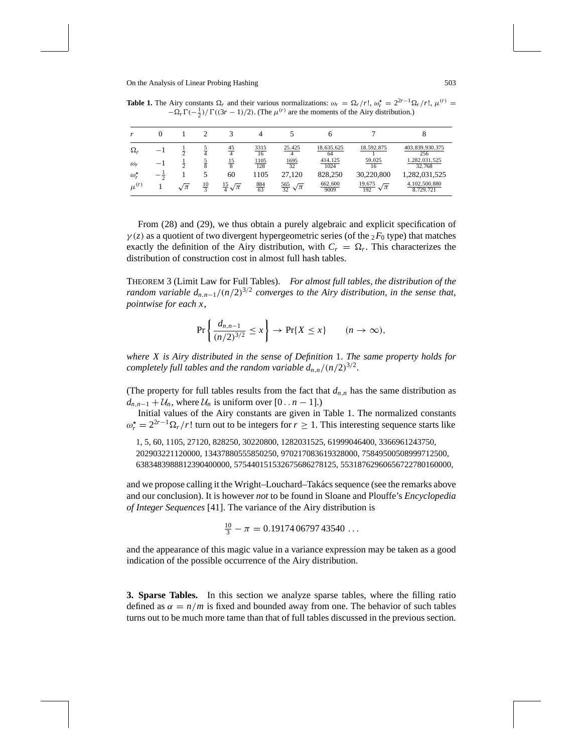**Table 1.** The Airy constants  $\Omega_r$  and their various normalizations:  $\omega_r = \Omega_r / r!$ ,  $\omega_r^* = 2^{2r-1} \Omega_r / r!$ ,  $\mu^{(r)} =$  $-\Omega_r \Gamma(-\frac{1}{2})/\Gamma((3r-1)/2)$ . (The  $\mu^{(r)}$  are the moments of the Airy distribution.)

| $\Omega_r$       |                |                | $\frac{45}{4}$         | $\frac{3315}{16}$  | 25,425                           | 18,635,625<br>64       | 18,592,875                           | 403, 839, 930, 375<br>256     |
|------------------|----------------|----------------|------------------------|--------------------|----------------------------------|------------------------|--------------------------------------|-------------------------------|
| $\omega_r$       | $\overline{a}$ |                | $\frac{15}{8}$         | $\frac{1105}{128}$ | $\frac{1695}{32}$                | $\frac{414,125}{1024}$ | $\frac{59,025}{16}$                  | 1,282,031,525<br>32,768       |
| $\omega^{\star}$ |                |                | 60                     | 1105               | 27,120                           | 828,250                | 30,220,800                           | 1,282,031,525                 |
| $\mu^{(r)}$      | $\sqrt{\pi}$   | $\frac{10}{3}$ | $rac{15}{4}\sqrt{\pi}$ | $\frac{884}{63}$   | $\frac{565}{32}$<br>$\sqrt{\pi}$ | $\frac{662,600}{9009}$ | $\frac{19,675}{192}$<br>$\sqrt{\pi}$ | 4, 102, 500, 880<br>8,729,721 |

From (28) and (29), we thus obtain a purely algebraic and explicit specification of  $\gamma(z)$  as a quotient of two divergent hypergeometric series (of the  ${}_2F_0$  type) that matches exactly the definition of the Airy distribution, with  $C_r = \Omega_r$ . This characterizes the distribution of construction cost in almost full hash tables.

THEOREM 3 (Limit Law for Full Tables). *For almost full tables*, *the distribution of the random variable*  $d_{n,n-1}/(n/2)^{3/2}$  *converges to the Airy distribution, in the sense that, pointwise for each x*,

$$
\Pr\left\{\frac{d_{n,n-1}}{(n/2)^{3/2}} \le x\right\} \to \Pr\{X \le x\} \qquad (n \to \infty),
$$

*where X is Airy distributed in the sense of Definition* 1. *The same property holds for completely full tables and the random variable*  $d_{n,n}/(n/2)^{3/2}$ *.* 

(The property for full tables results from the fact that  $d_{n,n}$  has the same distribution as  $d_{n,n-1} + U_n$ , where  $U_n$  is uniform over [0 . . *n* − 1].)

Initial values of the Airy constants are given in Table 1. The normalized constants  $\omega_r^* = 2^{2r-1}\Omega_r/r!$  turn out to be integers for  $r \ge 1$ . This interesting sequence starts like

1, 5, 60, 1105, 27120, 828250, 30220800, 1282031525, 61999046400, 3366961243750, 202903221120000, 13437880555850250, 970217083619328000, 75849500508999712500, 6383483988812390400000, 575440151532675686278125, 55318762960656722780160000,

and we propose calling it the Wright–Louchard–Takács sequence (see the remarks above and our conclusion). It is however *not* to be found in Sloane and Plouffe's *Encyclopedia of Integer Sequences* [41]. The variance of the Airy distribution is

$$
\frac{10}{3} - \pi = 0.19174\,06797\,43540\ldots
$$

and the appearance of this magic value in a variance expression may be taken as a good indication of the possible occurrence of the Airy distribution.

**3. Sparse Tables.** In this section we analyze sparse tables, where the filling ratio defined as  $\alpha = n/m$  is fixed and bounded away from one. The behavior of such tables turns out to be much more tame than that of full tables discussed in the previous section.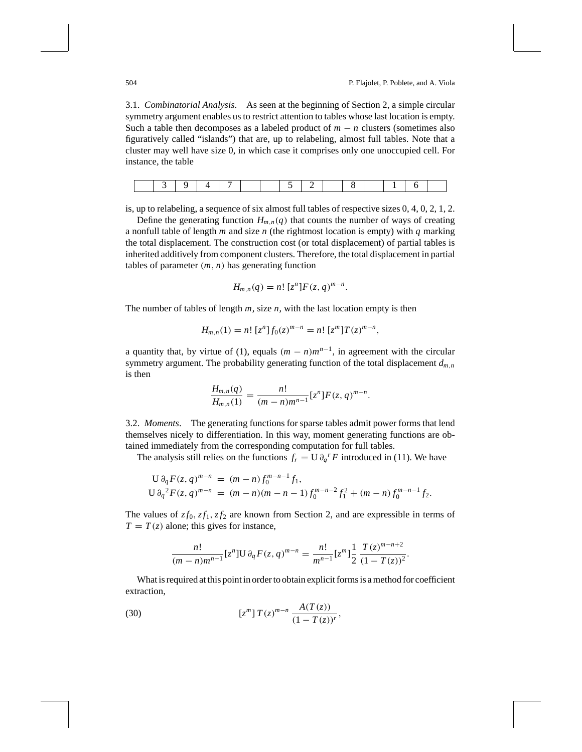3.1. *Combinatorial Analysis*. As seen at the beginning of Section 2, a simple circular symmetry argument enables us to restrict attention to tables whose last location is empty. Such a table then decomposes as a labeled product of  $m - n$  clusters (sometimes also figuratively called "islands") that are, up to relabeling, almost full tables. Note that a cluster may well have size 0, in which case it comprises only one unoccupied cell. For instance, the table

is, up to relabeling, a sequence of six almost full tables of respective sizes 0, 4, 0, 2, 1, 2.

Define the generating function  $H_{m,n}(q)$  that counts the number of ways of creating a nonfull table of length *m* and size *n* (the rightmost location is empty) with *q* marking the total displacement. The construction cost (or total displacement) of partial tables is inherited additively from component clusters. Therefore, the total displacement in partial tables of parameter (*m*, *n*) has generating function

$$
H_{m,n}(q) = n! [zn] F(z,q){m-n}.
$$

The number of tables of length *m*, size *n*, with the last location empty is then

$$
H_{m,n}(1) = n! [zn] f0(z)m-n = n! [zm] T (z)m-n,
$$

a quantity that, by virtue of (1), equals  $(m - n)m^{n-1}$ , in agreement with the circular symmetry argument. The probability generating function of the total displacement  $d_{m,n}$ is then

$$
\frac{H_{m,n}(q)}{H_{m,n}(1)} = \frac{n!}{(m-n)m^{n-1}} [z^n] F(z,q)^{m-n}.
$$

3.2. *Moments*. The generating functions for sparse tables admit power forms that lend themselves nicely to differentiation. In this way, moment generating functions are obtained immediately from the corresponding computation for full tables.

The analysis still relies on the functions  $f_r = U \partial_q^r F$  introduced in (11). We have

$$
U \partial_q F(z, q)^{m-n} = (m-n) f_0^{m-n-1} f_1,
$$
  
\n
$$
U \partial_q^2 F(z, q)^{m-n} = (m-n)(m-n-1) f_0^{m-n-2} f_1^2 + (m-n) f_0^{m-n-1} f_2.
$$

The values of  $zf_0, zf_1, zf_2$  are known from Section 2, and are expressible in terms of  $T = T(z)$  alone; this gives for instance,

$$
\frac{n!}{(m-n)m^{n-1}}[z^n]\mathrm{U}\partial_q F(z,q)^{m-n} = \frac{n!}{m^{n-1}}[z^m]\frac{1}{2}\frac{T(z)^{m-n+2}}{(1-T(z))^2}.
$$

What is required at this point in order to obtain explicit forms is a method for coefficient extraction,

(30) 
$$
[z^{m}] T(z)^{m-n} \frac{A(T(z))}{(1 - T(z))^{r}},
$$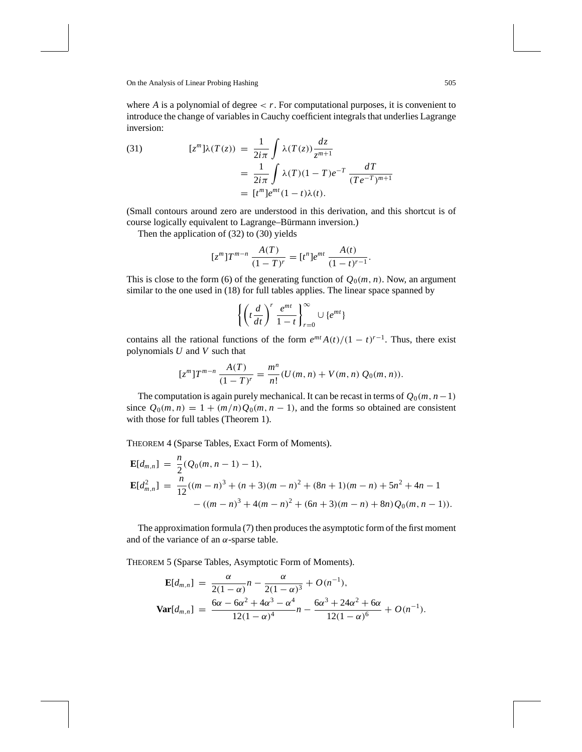where  $A$  is a polynomial of degree  $\langle r \rangle$ . For computational purposes, it is convenient to introduce the change of variables in Cauchy coefficient integrals that underlies Lagrange inversion:

(31) 
$$
[z^m]\lambda(T(z)) = \frac{1}{2i\pi} \int \lambda(T(z)) \frac{dz}{z^{m+1}}
$$

$$
= \frac{1}{2i\pi} \int \lambda(T)(1-T)e^{-T} \frac{dT}{(Te^{-T})^{m+1}}
$$

$$
= [t^m]e^{mt}(1-t)\lambda(t).
$$

(Small contours around zero are understood in this derivation, and this shortcut is of course logically equivalent to Lagrange–Bürmann inversion.)

Then the application of (32) to (30) yields

$$
[zm]Tm-n \frac{A(T)}{(1-T)r} = [tn]emt \frac{A(t)}{(1-t)r-1}.
$$

This is close to the form (6) of the generating function of  $Q_0(m, n)$ . Now, an argument similar to the one used in (18) for full tables applies. The linear space spanned by

$$
\left\{ \left( t \frac{d}{dt} \right)^r \frac{e^{mt}}{1-t} \right\}_{r=0}^{\infty} \cup \{ e^{mt} \}
$$

contains all the rational functions of the form  $e^{mt} A(t)/(1-t)^{r-1}$ . Thus, there exist polynomials *U* and *V* such that

$$
[z^m]T^{m-n}\frac{A(T)}{(1-T)^r} = \frac{m^n}{n!}(U(m,n) + V(m,n)Q_0(m,n)).
$$

The computation is again purely mechanical. It can be recast in terms of  $Q_0(m, n-1)$ since  $Q_0(m, n) = 1 + (m/n)Q_0(m, n - 1)$ , and the forms so obtained are consistent with those for full tables (Theorem 1).

THEOREM 4 (Sparse Tables, Exact Form of Moments).

$$
\mathbf{E}[d_{m,n}] = \frac{n}{2} (Q_0(m, n-1) - 1),
$$
  
\n
$$
\mathbf{E}[d_{m,n}^2] = \frac{n}{12} ((m-n)^3 + (n+3)(m-n)^2 + (8n+1)(m-n) + 5n^2 + 4n - 1 - ((m-n)^3 + 4(m-n)^2 + (6n+3)(m-n) + 8n) Q_0(m, n-1)).
$$

The approximation formula (7) then produces the asymptotic form of the first moment and of the variance of an  $\alpha$ -sparse table.

THEOREM 5 (Sparse Tables, Asymptotic Form of Moments).

$$
\mathbf{E}[d_{m,n}] = \frac{\alpha}{2(1-\alpha)}n - \frac{\alpha}{2(1-\alpha)^3} + O(n^{-1}),
$$
  

$$
\mathbf{Var}[d_{m,n}] = \frac{6\alpha - 6\alpha^2 + 4\alpha^3 - \alpha^4}{12(1-\alpha)^4}n - \frac{6\alpha^3 + 24\alpha^2 + 6\alpha}{12(1-\alpha)^6} + O(n^{-1}).
$$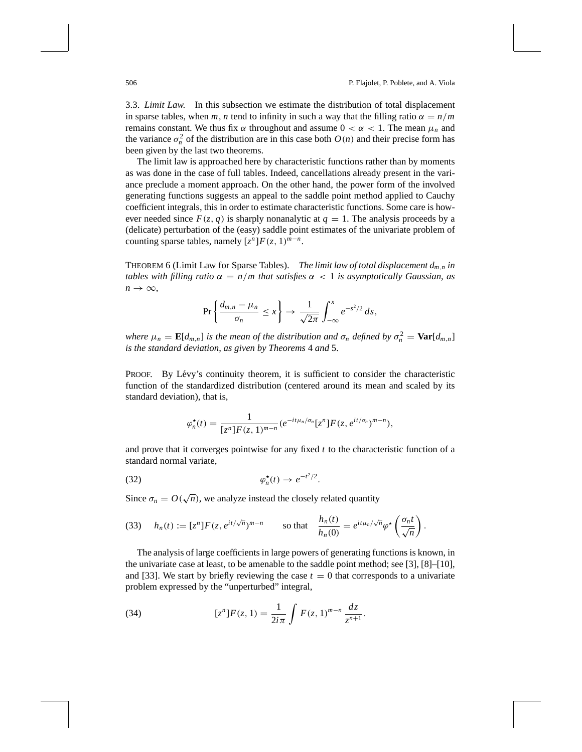3.3. *Limit Law*. In this subsection we estimate the distribution of total displacement in sparse tables, when *m*, *n* tend to infinity in such a way that the filling ratio  $\alpha = n/m$ remains constant. We thus fix α throughout and assume  $0 < α < 1$ . The mean  $\mu_n$  and the variance  $\sigma_n^2$  of the distribution are in this case both  $O(n)$  and their precise form has been given by the last two theorems.

The limit law is approached here by characteristic functions rather than by moments as was done in the case of full tables. Indeed, cancellations already present in the variance preclude a moment approach. On the other hand, the power form of the involved generating functions suggests an appeal to the saddle point method applied to Cauchy coefficient integrals, this in order to estimate characteristic functions. Some care is however needed since  $F(z, q)$  is sharply nonanalytic at  $q = 1$ . The analysis proceeds by a (delicate) perturbation of the (easy) saddle point estimates of the univariate problem of counting sparse tables, namely  $[z^n]F(z, 1)^{m-n}$ .

THEOREM 6 (Limit Law for Sparse Tables). *The limit law of total displacement dm*,*<sup>n</sup> in tables with filling ratio*  $\alpha = n/m$  *that satisfies*  $\alpha < 1$  *is asymptotically Gaussian, as*  $n \rightarrow \infty$ ,

$$
\Pr\left\{\frac{d_{m,n}-\mu_n}{\sigma_n}\leq x\right\}\to\frac{1}{\sqrt{2\pi}}\int_{-\infty}^x e^{-s^2/2}\,ds,
$$

*where*  $\mu_n = \mathbf{E}[d_{m,n}]$  *is the mean of the distribution and*  $\sigma_n$  *defined by*  $\sigma_n^2 = \mathbf{Var}[d_{m,n}]$ *is the standard deviation*, *as given by Theorems* 4 *and* 5.

PROOF. By Lévy's continuity theorem, it is sufficient to consider the characteristic function of the standardized distribution (centered around its mean and scaled by its standard deviation), that is,

$$
\varphi_n^*(t) = \frac{1}{[z^n]F(z,1)^{m-n}} (e^{-it\mu_n/\sigma_n}[z^n]F(z,e^{it/\sigma_n})^{m-n}),
$$

and prove that it converges pointwise for any fixed *t* to the characteristic function of a standard normal variate,

$$
\varphi_n^{\star}(t) \to e^{-t^2/2}.
$$

Since  $\sigma_n = O(\sqrt{n})$ , we analyze instead the closely related quantity

(33) 
$$
h_n(t) := [z^n] F(z, e^{it/\sqrt{n}})^{m-n}
$$
 so that 
$$
\frac{h_n(t)}{h_n(0)} = e^{it\mu_n/\sqrt{n}} \varphi^{\star} \left( \frac{\sigma_n t}{\sqrt{n}} \right).
$$

The analysis of large coefficients in large powers of generating functions is known, in the univariate case at least, to be amenable to the saddle point method; see [3], [8]–[10], and [33]. We start by briefly reviewing the case  $t = 0$  that corresponds to a univariate problem expressed by the "unperturbed" integral,

(34) 
$$
[z^{n}]F(z, 1) = \frac{1}{2i\pi} \int F(z, 1)^{m-n} \frac{dz}{z^{n+1}}.
$$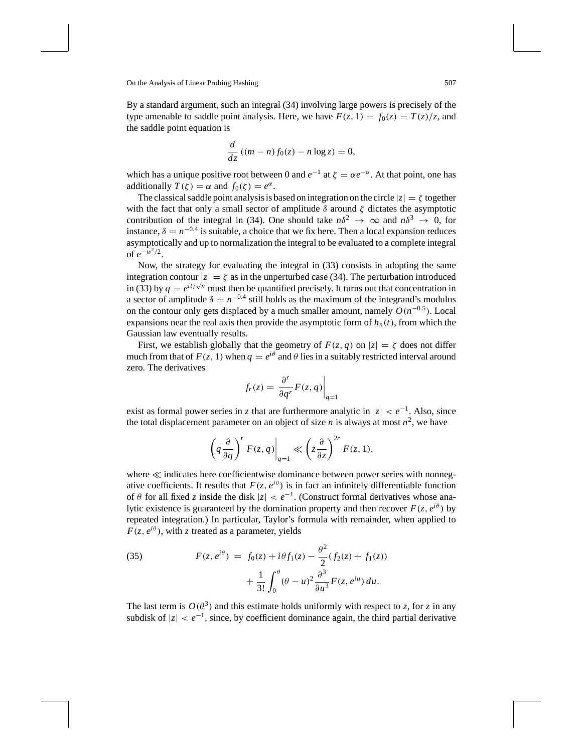By a standard argument, such an integral (34) involving large powers is precisely of the type amenable to saddle point analysis. Here, we have  $F(z, 1) = f_0(z) = T(z)/z$ , and the saddle point equation is

$$
\frac{d}{dz}\left((m-n)f_0(z)-n\log z\right)=0,
$$

which has a unique positive root between 0 and  $e^{-1}$  at  $\zeta = \alpha e^{-\alpha}$ . At that point, one has additionally  $T(\zeta) = \alpha$  and  $f_0(\zeta) = e^{\alpha}$ .

The classical saddle point analysis is based on integration on the circle  $|z| = \zeta$  together with the fact that only a small sector of amplitude  $\delta$  around  $\zeta$  dictates the asymptotic contribution of the integral in (34). One should take  $n\delta^2 \to \infty$  and  $n\delta^3 \to 0$ , for instance,  $\delta = n^{-0.4}$  is suitable, a choice that we fix here. Then a local expansion reduces asymptotically and up to normalization the integral to be evaluated to a complete integral of  $e^{-w^2/2}$ .

Now, the strategy for evaluating the integral in (33) consists in adopting the same integration contour  $|z| = \zeta$  as in the unperturbed case (34). The perturbation introduced in (33) by  $q = e^{it/\sqrt{n}}$  must then be quantified precisely. It turns out that concentration in a sector of amplitude  $\delta = n^{-0.4}$  still holds as the maximum of the integrand's modulus on the contour only gets displaced by a much smaller amount, namely  $O(n^{-0.5})$ . Local expansions near the real axis then provide the asymptotic form of  $h_n(t)$ , from which the Gaussian law eventually results.

First, we establish globally that the geometry of  $F(z, q)$  on  $|z| = \zeta$  does not differ much from that of  $F(z, 1)$  when  $q = e^{i\theta}$  and  $\theta$  lies in a suitably restricted interval around zero. The derivatives

$$
f_r(z) = \frac{\partial^r}{\partial q^r} F(z, q) \bigg|_{q=1}
$$

exist as formal power series in *z* that are furthermore analytic in  $|z| < e^{-1}$ . Also, since the total displacement parameter on an object of size *n* is always at most  $n^2$ , we have

$$
\left(q\frac{\partial}{\partial q}\right)^r F(z,q)\Big|_{q=1} \ll \left(z\frac{\partial}{\partial z}\right)^{2r} F(z,1),
$$

where  $\ll$  indicates here coefficientwise dominance between power series with nonnegative coefficients. It results that  $F(z, e^{i\theta})$  is in fact an infinitely differentiable function of  $\theta$  for all fixed *z* inside the disk  $|z| < e^{-1}$ . (Construct formal derivatives whose analytic existence is guaranteed by the domination property and then recover  $F(z, e^{i\theta})$  by repeated integration.) In particular, Taylor's formula with remainder, when applied to  $F(z, e^{i\theta})$ , with *z* treated as a parameter, yields

(35) 
$$
F(z, e^{i\theta}) = f_0(z) + i\theta f_1(z) - \frac{\theta^2}{2} (f_2(z) + f_1(z)) + \frac{1}{3!} \int_0^{\theta} (\theta - u)^2 \frac{\partial^3}{\partial u^3} F(z, e^{iu}) du.
$$

The last term is  $O(\theta^3)$  and this estimate holds uniformly with respect to *z*, for *z* in any subdisk of  $|z| < e^{-1}$ , since, by coefficient dominance again, the third partial derivative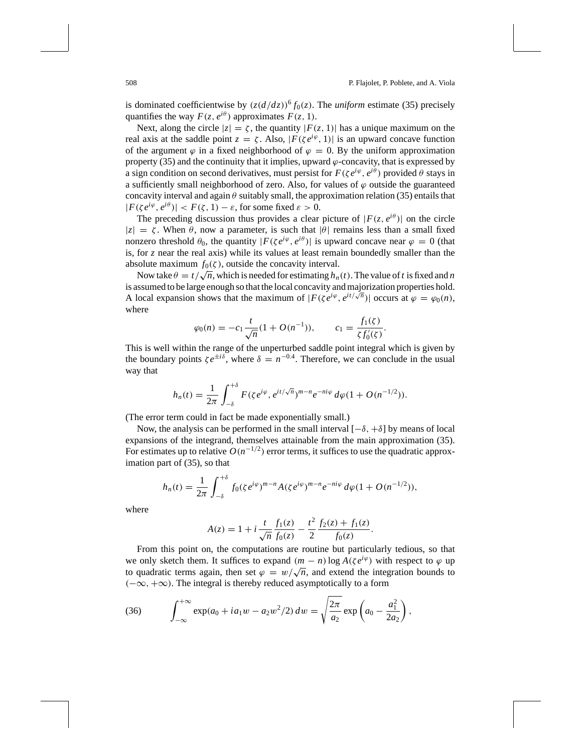is dominated coefficientwise by  $(z(d/dz))^6 f_0(z)$ . The *uniform* estimate (35) precisely quantifies the way  $F(z, e^{i\theta})$  approximates  $F(z, 1)$ .

Next, along the circle  $|z| = \zeta$ , the quantity  $|F(z, 1)|$  has a unique maximum on the real axis at the saddle point  $z = \zeta$ . Also,  $|F(\zeta e^{i\varphi}, 1)|$  is an upward concave function of the argument  $\varphi$  in a fixed neighborhood of  $\varphi = 0$ . By the uniform approximation property  $(35)$  and the continuity that it implies, upward  $\varphi$ -concavity, that is expressed by a sign condition on second derivatives, must persist for  $F(\zeta e^{i\varphi}, e^{i\theta})$  provided  $\theta$  stays in a sufficiently small neighborhood of zero. Also, for values of  $\varphi$  outside the guaranteed concavity interval and again  $\theta$  suitably small, the approximation relation (35) entails that  $|F(\zeta e^{i\varphi}, e^{i\theta})|$  <  $F(\zeta, 1) - \varepsilon$ , for some fixed  $\varepsilon > 0$ .

The preceding discussion thus provides a clear picture of  $|F(z, e^{i\theta})|$  on the circle  $|z| = \zeta$ . When  $\theta$ , now a parameter, is such that  $|\theta|$  remains less than a small fixed nonzero threshold  $\theta_0$ , the quantity  $|F(\zeta e^{i\varphi}, e^{i\theta})|$  is upward concave near  $\varphi = 0$  (that is, for *z* near the real axis) while its values at least remain boundedly smaller than the absolute maximum  $f_0(\zeta)$ , outside the concavity interval.

Now take  $\theta = t/\sqrt{n}$ , which is needed for estimating  $h_n(t)$ . The value of *t* is fixed and *n* is assumed to be large enough so that the local concavity and majorization properties hold. A local expansion shows that the maximum of  $|F(\zeta e^{i\phi}, e^{it/\sqrt{n}})|$  occurs at  $\varphi = \varphi_0(n)$ , where

$$
\varphi_0(n) = -c_1 \frac{t}{\sqrt{n}} (1 + O(n^{-1})), \qquad c_1 = \frac{f_1(\zeta)}{\zeta f_0'(\zeta)}.
$$

This is well within the range of the unperturbed saddle point integral which is given by the boundary points  $\zeta e^{\pm i\delta}$ , where  $\delta = n^{-0.4}$ . Therefore, we can conclude in the usual way that

$$
h_n(t) = \frac{1}{2\pi} \int_{-\delta}^{+\delta} F(\zeta e^{i\varphi}, e^{it/\sqrt{n}})^{m-n} e^{-ni\varphi} d\varphi (1 + O(n^{-1/2})).
$$

(The error term could in fact be made exponentially small.)

Now, the analysis can be performed in the small interval  $[-\delta, +\delta]$  by means of local expansions of the integrand, themselves attainable from the main approximation (35). For estimates up to relative  $O(n^{-1/2})$  error terms, it suffices to use the quadratic approximation part of (35), so that

$$
h_n(t) = \frac{1}{2\pi} \int_{-\delta}^{+\delta} f_0(\zeta e^{i\varphi})^{m-n} A(\zeta e^{i\varphi})^{m-n} e^{-ni\varphi} d\varphi (1 + O(n^{-1/2})),
$$

where

$$
A(z) = 1 + i \frac{t}{\sqrt{n}} \frac{f_1(z)}{f_0(z)} - \frac{t^2}{2} \frac{f_2(z) + f_1(z)}{f_0(z)}.
$$

From this point on, the computations are routine but particularly tedious, so that we only sketch them. It suffices to expand  $(m - n) \log A(\zeta e^{i\varphi})$  with respect to  $\varphi$  up to quadratic terms again, then set  $\varphi = w/\sqrt{n}$ , and extend the integration bounds to  $(-\infty, +\infty)$ . The integral is thereby reduced asymptotically to a form

(36) 
$$
\int_{-\infty}^{+\infty} \exp(a_0 + ia_1 w - a_2 w^2/2) dw = \sqrt{\frac{2\pi}{a_2}} \exp\left(a_0 - \frac{a_1^2}{2a_2}\right),
$$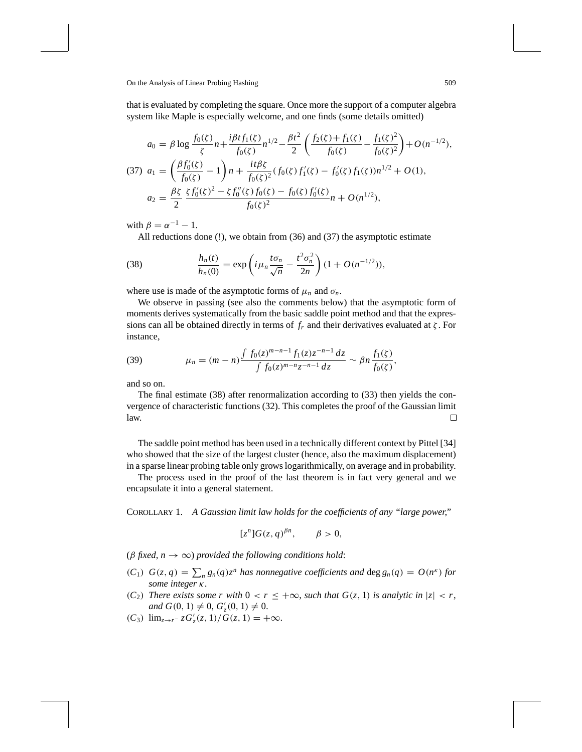that is evaluated by completing the square. Once more the support of a computer algebra system like Maple is especially welcome, and one finds (some details omitted)

$$
a_0 = \beta \log \frac{f_0(\zeta)}{\zeta} n + \frac{i\beta t f_1(\zeta)}{f_0(\zeta)} n^{1/2} - \frac{\beta t^2}{2} \left( \frac{f_2(\zeta) + f_1(\zeta)}{f_0(\zeta)} - \frac{f_1(\zeta)^2}{f_0(\zeta)^2} \right) + O(n^{-1/2}),
$$
  
(37) 
$$
a_1 = \left( \frac{\beta f_0'(\zeta)}{f_0(\zeta)} - 1 \right) n + \frac{i t \beta \zeta}{f_0(\zeta)^2} (f_0(\zeta) f_1'(\zeta) - f_0'(\zeta) f_1(\zeta)) n^{1/2} + O(1),
$$

$$
a_2 = \frac{\beta \zeta}{2} \frac{\zeta f_0'(\zeta)^2 - \zeta f_0''(\zeta) f_0(\zeta) - f_0(\zeta) f_0'(\zeta)}{f_0(\zeta)^2} n + O(n^{1/2}),
$$

with  $\beta = \alpha^{-1} - 1$ .

All reductions done (!), we obtain from (36) and (37) the asymptotic estimate

(38) 
$$
\frac{h_n(t)}{h_n(0)} = \exp\left(i\mu_n \frac{t\sigma_n}{\sqrt{n}} - \frac{t^2 \sigma_n^2}{2n}\right) (1 + O(n^{-1/2})),
$$

where use is made of the asymptotic forms of  $\mu_n$  and  $\sigma_n$ .

We observe in passing (see also the comments below) that the asymptotic form of moments derives systematically from the basic saddle point method and that the expressions can all be obtained directly in terms of  $f<sub>r</sub>$  and their derivatives evaluated at  $\zeta$ . For instance,

(39) 
$$
\mu_n = (m-n) \frac{\int f_0(z)^{m-n-1} f_1(z) z^{-n-1} dz}{\int f_0(z)^{m-n} z^{-n-1} dz} \sim \beta n \frac{f_1(\zeta)}{f_0(\zeta)},
$$

and so on.

The final estimate (38) after renormalization according to (33) then yields the convergence of characteristic functions (32). This completes the proof of the Gaussian limit law. □

The saddle point method has been used in a technically different context by Pittel [34] who showed that the size of the largest cluster (hence, also the maximum displacement) in a sparse linear probing table only grows logarithmically, on average and in probability.

The process used in the proof of the last theorem is in fact very general and we encapsulate it into a general statement.

COROLLARY 1. *A Gaussian limit law holds for the coefficients of any "large power*,*"*

$$
[z^n]G(z,q)^{\beta n}, \qquad \beta > 0,
$$

( $\beta$  *fixed, n*  $\rightarrow \infty$ ) *provided the following conditions hold:* 

- $(C_1)$   $G(z, q) = \sum_n g_n(q) z^n$  *has nonnegative coefficients and* deg  $g_n(q) = O(n^k)$  *for some integer* κ.
- (*C*<sub>2</sub>) *There exists some r with*  $0 < r \leq +\infty$ , *such that*  $G(z, 1)$  *is analytic in*  $|z| < r$ ,  $and G(0, 1) \neq 0, G'_{z}(0, 1) \neq 0.$
- $(C_3)$  lim<sub>*z→r</sub>−</sup>*  $zG'_{z}(z, 1)/G(z, 1) = +\infty$ *.</sub>*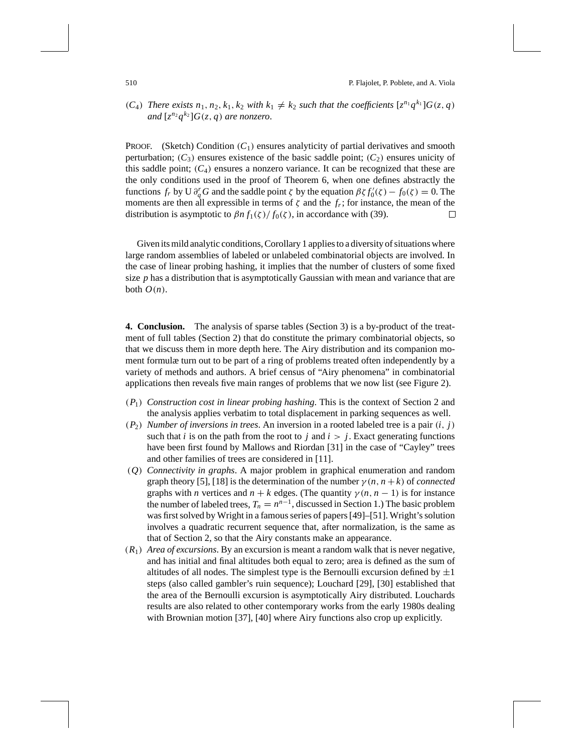## $(C_4)$  *There exists*  $n_1, n_2, k_1, k_2$  *with*  $k_1 \neq k_2$  *such that the coefficients*  $[z^{n_1}q^{k_1}]G(z, q)$ *and*  $[z^{n_2}q^{k_2}]G(z,q)$  *are nonzero.*

PROOF. (Sketch) Condition  $(C_1)$  ensures analyticity of partial derivatives and smooth perturbation;  $(C_3)$  ensures existence of the basic saddle point;  $(C_2)$  ensures unicity of this saddle point;  $(C_4)$  ensures a nonzero variance. It can be recognized that these are the only conditions used in the proof of Theorem 6, when one defines abstractly the functions  $f_r$  by U  $\partial_q^r G$  and the saddle point  $\zeta$  by the equation  $\beta \zeta f'_0(\zeta) - f_0(\zeta) = 0$ . The moments are then all expressible in terms of  $\zeta$  and the  $f_r$ ; for instance, the mean of the distribution is asymptotic to  $\beta n f_1(\zeta) / f_0(\zeta)$ , in accordance with (39).  $\Box$ 

Given its mild analytic conditions, Corollary 1 applies to a diversity of situations where large random assemblies of labeled or unlabeled combinatorial objects are involved. In the case of linear probing hashing, it implies that the number of clusters of some fixed size *p* has a distribution that is asymptotically Gaussian with mean and variance that are both  $O(n)$ .

**4. Conclusion.** The analysis of sparse tables (Section 3) is a by-product of the treatment of full tables (Section 2) that do constitute the primary combinatorial objects, so that we discuss them in more depth here. The Airy distribution and its companion moment formulæ turn out to be part of a ring of problems treated often independently by a variety of methods and authors. A brief census of "Airy phenomena" in combinatorial applications then reveals five main ranges of problems that we now list (see Figure 2).

- (*P*1) *Construction cost in linear probing hashing*. This is the context of Section 2 and the analysis applies verbatim to total displacement in parking sequences as well.
- $(P_2)$  *Number of inversions in trees.* An inversion in a rooted labeled tree is a pair  $(i, j)$ such that *i* is on the path from the root to *j* and  $i > j$ . Exact generating functions have been first found by Mallows and Riordan [31] in the case of "Cayley" trees and other families of trees are considered in [11].
- (*Q*) *Connectivity in graphs*. A major problem in graphical enumeration and random graph theory [5], [18] is the determination of the number  $\gamma(n, n+k)$  of *connected* graphs with *n* vertices and  $n + k$  edges. (The quantity  $\gamma(n, n - 1)$  is for instance the number of labeled trees,  $T_n = n^{n-1}$ , discussed in Section 1.) The basic problem was first solved by Wright in a famous series of papers [49]–[51]. Wright's solution involves a quadratic recurrent sequence that, after normalization, is the same as that of Section 2, so that the Airy constants make an appearance.
- (*R*1) *Area of excursions*. By an excursion is meant a random walk that is never negative, and has initial and final altitudes both equal to zero; area is defined as the sum of altitudes of all nodes. The simplest type is the Bernoulli excursion defined by  $\pm 1$ steps (also called gambler's ruin sequence); Louchard [29], [30] established that the area of the Bernoulli excursion is asymptotically Airy distributed. Louchards results are also related to other contemporary works from the early 1980s dealing with Brownian motion [37], [40] where Airy functions also crop up explicitly.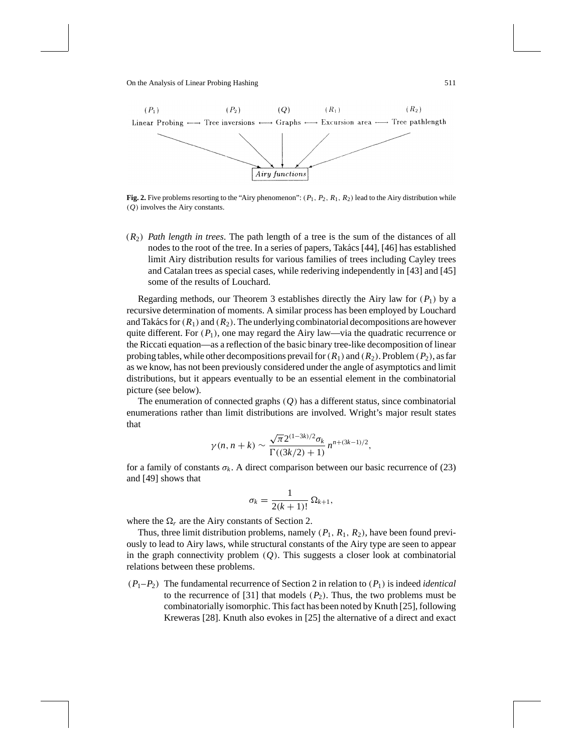

**Fig. 2.** Five problems resorting to the "Airy phenomenon":  $(P_1, P_2, R_1, R_2)$  lead to the Airy distribution while (*Q*) involves the Airy constants.

(*R*2) *Path length in trees*. The path length of a tree is the sum of the distances of all nodes to the root of the tree. In a series of papers, Takács [44], [46] has established limit Airy distribution results for various families of trees including Cayley trees and Catalan trees as special cases, while rederiving independently in [43] and [45] some of the results of Louchard.

Regarding methods, our Theorem 3 establishes directly the Airy law for  $(P_1)$  by a recursive determination of moments. A similar process has been employed by Louchard and Takács for  $(R_1)$  and  $(R_2)$ . The underlying combinatorial decompositions are however quite different. For  $(P_1)$ , one may regard the Airy law—via the quadratic recurrence or the Riccati equation—as a reflection of the basic binary tree-like decomposition of linear probing tables, while other decompositions prevail for  $(R_1)$  and  $(R_2)$ . Problem  $(P_2)$ , as far as we know, has not been previously considered under the angle of asymptotics and limit distributions, but it appears eventually to be an essential element in the combinatorial picture (see below).

The enumeration of connected graphs (*Q*) has a different status, since combinatorial enumerations rather than limit distributions are involved. Wright's major result states that

$$
\gamma(n, n + k) \sim \frac{\sqrt{\pi} 2^{(1-3k)/2} \sigma_k}{\Gamma((3k/2) + 1)} n^{n + (3k-1)/2},
$$

for a family of constants  $\sigma_k$ . A direct comparison between our basic recurrence of (23) and [49] shows that

$$
\sigma_k = \frac{1}{2(k+1)!} \, \Omega_{k+1},
$$

where the  $\Omega_r$  are the Airy constants of Section 2.

Thus, three limit distribution problems, namely  $(P_1, R_1, R_2)$ , have been found previously to lead to Airy laws, while structural constants of the Airy type are seen to appear in the graph connectivity problem (*Q*). This suggests a closer look at combinatorial relations between these problems.

 $(P_1-P_2)$  The fundamental recurrence of Section 2 in relation to  $(P_1)$  is indeed *identical* to the recurrence of [31] that models  $(P_2)$ . Thus, the two problems must be combinatorially isomorphic. This fact has been noted by Knuth [25], following Kreweras [28]. Knuth also evokes in [25] the alternative of a direct and exact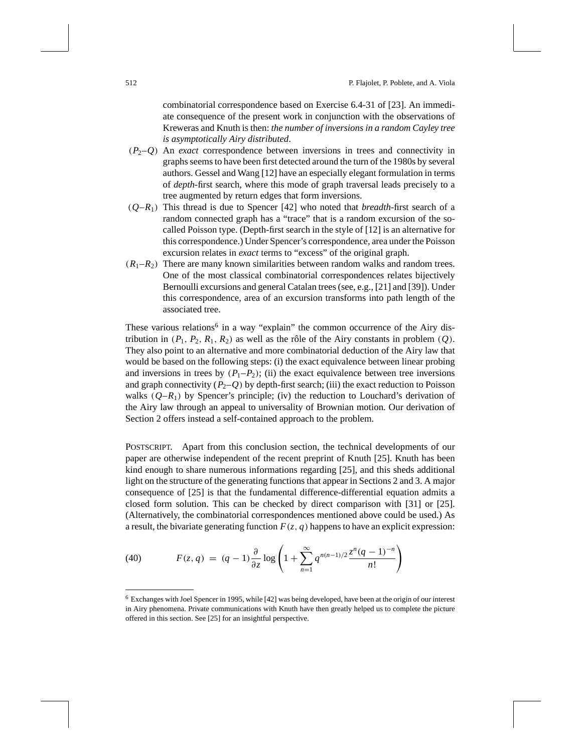combinatorial correspondence based on Exercise 6.4-31 of [23]. An immediate consequence of the present work in conjunction with the observations of Kreweras and Knuth is then: *the number of inversions in a random Cayley tree is asymptotically Airy distributed*.

- $(P_2-Q)$  An *exact* correspondence between inversions in trees and connectivity in graphs seems to have been first detected around the turn of the 1980s by several authors. Gessel and Wang [12] have an especially elegant formulation in terms of *depth*-first search, where this mode of graph traversal leads precisely to a tree augmented by return edges that form inversions.
- $(Q-R_1)$  This thread is due to Spencer [42] who noted that *breadth*-first search of a random connected graph has a "trace" that is a random excursion of the socalled Poisson type. (Depth-first search in the style of [12] is an alternative for this correspondence.) Under Spencer's correspondence, area under the Poisson excursion relates in *exact* terms to "excess" of the original graph.
- $(R_1-R_2)$  There are many known similarities between random walks and random trees. One of the most classical combinatorial correspondences relates bijectively Bernoulli excursions and general Catalan trees (see, e.g., [21] and [39]). Under this correspondence, area of an excursion transforms into path length of the associated tree.

These various relations<sup>6</sup> in a way "explain" the common occurrence of the Airy distribution in  $(P_1, P_2, R_1, R_2)$  as well as the rôle of the Airy constants in problem  $(Q)$ . They also point to an alternative and more combinatorial deduction of the Airy law that would be based on the following steps: (i) the exact equivalence between linear probing and inversions in trees by  $(P_1-P_2)$ ; (ii) the exact equivalence between tree inversions and graph connectivity  $(P_2-Q)$  by depth-first search; (iii) the exact reduction to Poisson walks  $(Q-R_1)$  by Spencer's principle; (iv) the reduction to Louchard's derivation of the Airy law through an appeal to universality of Brownian motion. Our derivation of Section 2 offers instead a self-contained approach to the problem.

POSTSCRIPT. Apart from this conclusion section, the technical developments of our paper are otherwise independent of the recent preprint of Knuth [25]. Knuth has been kind enough to share numerous informations regarding [25], and this sheds additional light on the structure of the generating functions that appear in Sections 2 and 3. A major consequence of [25] is that the fundamental difference-differential equation admits a closed form solution. This can be checked by direct comparison with [31] or [25]. (Alternatively, the combinatorial correspondences mentioned above could be used.) As a result, the bivariate generating function  $F(z, q)$  happens to have an explicit expression:

(40) 
$$
F(z,q) = (q-1)\frac{\partial}{\partial z}\log\left(1+\sum_{n=1}^{\infty}q^{n(n-1)/2}\frac{z^n(q-1)^{-n}}{n!}\right)
$$

<sup>6</sup> Exchanges with Joel Spencer in 1995, while [42] was being developed, have been at the origin of our interest in Airy phenomena. Private communications with Knuth have then greatly helped us to complete the picture offered in this section. See [25] for an insightful perspective.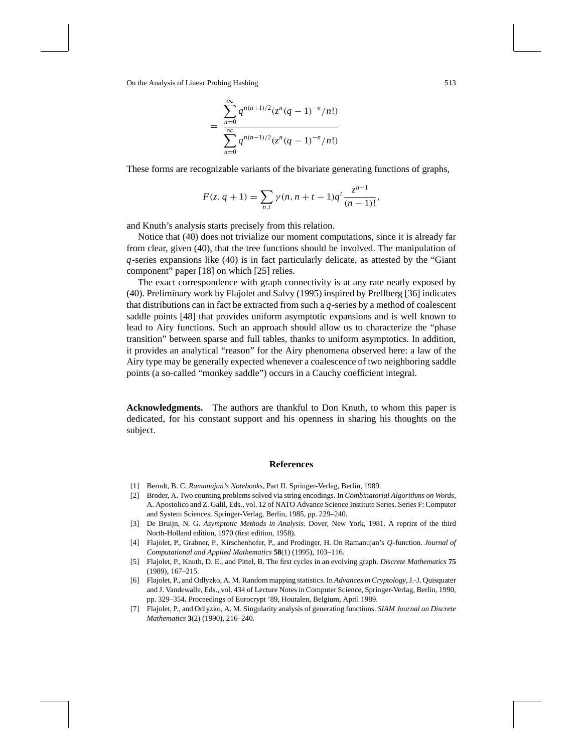$$
= \frac{\sum_{n=0}^{\infty} q^{n(n+1)/2} (z^n (q-1)^{-n}/n!)}{\sum_{n=0}^{\infty} q^{n(n-1)/2} (z^n (q-1)^{-n}/n!)}
$$

These forms are recognizable variants of the bivariate generating functions of graphs,

$$
F(z, q + 1) = \sum_{n,t} \gamma(n, n + t - 1)q^{t} \frac{z^{n-1}}{(n-1)!},
$$

and Knuth's analysis starts precisely from this relation.

Notice that (40) does not trivialize our moment computations, since it is already far from clear, given (40), that the tree functions should be involved. The manipulation of *q*-series expansions like (40) is in fact particularly delicate, as attested by the "Giant component" paper [18] on which [25] relies.

The exact correspondence with graph connectivity is at any rate neatly exposed by (40). Preliminary work by Flajolet and Salvy (1995) inspired by Prellberg [36] indicates that distributions can in fact be extracted from such a *q*-series by a method of coalescent saddle points [48] that provides uniform asymptotic expansions and is well known to lead to Airy functions. Such an approach should allow us to characterize the "phase transition" between sparse and full tables, thanks to uniform asymptotics. In addition, it provides an analytical "reason" for the Airy phenomena observed here: a law of the Airy type may be generally expected whenever a coalescence of two neighboring saddle points (a so-called "monkey saddle") occurs in a Cauchy coefficient integral.

**Acknowledgments.** The authors are thankful to Don Knuth, to whom this paper is dedicated, for his constant support and his openness in sharing his thoughts on the subject.

## **References**

- [1] Berndt, B. C. *Ramanujan's Notebooks*, Part II. Springer-Verlag, Berlin, 1989.
- [2] Broder, A. Two counting problems solved via string encodings. In *Combinatorial Algorithms on Words*, A. Apostolico and Z. Galil, Eds., vol. 12 of NATO Advance Science Institute Series. Series F: Computer and System Sciences. Springer-Verlag, Berlin, 1985, pp. 229–240.
- [3] De Bruijn, N. G. *Asymptotic Methods in Analysis*. Dover, New York, 1981. A reprint of the third North-Holland edition, 1970 (first edition, 1958).
- [4] Flajolet, P., Grabner, P., Kirschenhofer, P., and Prodinger, H. On Ramanujan's *Q*-function. *Journal of Computational and Applied Mathematics* **58**(1) (1995), 103–116.
- [5] Flajolet, P., Knuth, D. E., and Pittel, B. The first cycles in an evolving graph. *Discrete Mathematics* **75** (1989), 167–215.
- [6] Flajolet, P., and Odlyzko, A. M. Random mapping statistics. In *Advances in Cryptology*, J.-J. Quisquater and J. Vandewalle, Eds., vol. 434 of Lecture Notes in Computer Science, Springer-Verlag, Berlin, 1990, pp. 329–354. Proceedings of Eurocrypt '89, Houtalen, Belgium, April 1989.
- [7] Flajolet, P., and Odlyzko, A. M. Singularity analysis of generating functions. *SIAM Journal on Discrete Mathematics* **3**(2) (1990), 216–240.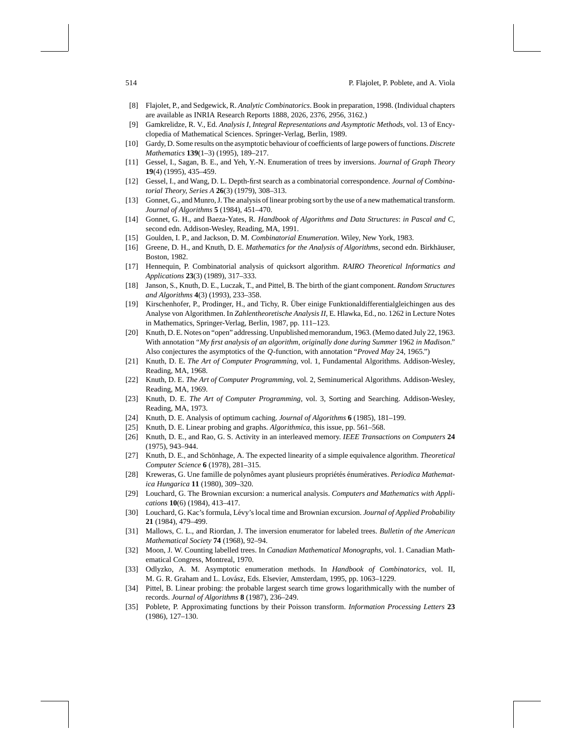- [8] Flajolet, P., and Sedgewick, R. *Analytic Combinatorics*. Book in preparation, 1998. (Individual chapters are available as INRIA Research Reports 1888, 2026, 2376, 2956, 3162.)
- [9] Gamkrelidze, R. V., Ed. *Analysis I*, *Integral Representations and Asymptotic Methods*, vol. 13 of Encyclopedia of Mathematical Sciences. Springer-Verlag, Berlin, 1989.
- [10] Gardy, D. Some results on the asymptotic behaviour of coefficients of large powers of functions. *Discrete Mathematics* **139**(1–3) (1995), 189–217.
- [11] Gessel, I., Sagan, B. E., and Yeh, Y.-N. Enumeration of trees by inversions. *Journal of Graph Theory* **19**(4) (1995), 435–459.
- [12] Gessel, I., and Wang, D. L. Depth-first search as a combinatorial correspondence. *Journal of Combinatorial Theory*, *Series A* **26**(3) (1979), 308–313.
- [13] Gonnet, G., and Munro, J. The analysis of linear probing sort by the use of a new mathematical transform. *Journal of Algorithms* **5** (1984), 451–470.
- [14] Gonnet, G. H., and Baeza-Yates, R. *Handbook of Algorithms and Data Structures*: *in Pascal and C*, second edn. Addison-Wesley, Reading, MA, 1991.
- [15] Goulden, I. P., and Jackson, D. M. *Combinatorial Enumeration*. Wiley, New York, 1983.
- [16] Greene, D. H., and Knuth, D. E. *Mathematics for the Analysis of Algorithms*, second edn. Birkhäuser, Boston, 1982.
- [17] Hennequin, P. Combinatorial analysis of quicksort algorithm. *RAIRO Theoretical Informatics and Applications* **23**(3) (1989), 317–333.
- [18] Janson, S., Knuth, D. E., Luczak, T., and Pittel, B. The birth of the giant component. *Random Structures and Algorithms* **4**(3) (1993), 233–358.
- [19] Kirschenhofer, P., Prodinger, H., and Tichy, R. Uber einige Funktionaldifferentialgleichingen aus des ¨ Analyse von Algorithmen. In *Zahlentheoretische Analysis II*, E. Hlawka, Ed., no. 1262 in Lecture Notes in Mathematics, Springer-Verlag, Berlin, 1987, pp. 111–123.
- [20] Knuth, D. E. Notes on "open" addressing. Unpublished memorandum, 1963. (Memo dated July 22, 1963. With annotation "*My first analysis of an algorithm*, *originally done during Summer* 1962 *in Madison*." Also conjectures the asymptotics of the *Q*-function, with annotation "*Proved May* 24, 1965.")
- [21] Knuth, D. E. *The Art of Computer Programming*, vol. 1, Fundamental Algorithms. Addison-Wesley, Reading, MA, 1968.
- [22] Knuth, D. E. *The Art of Computer Programming*, vol. 2, Seminumerical Algorithms. Addison-Wesley, Reading, MA, 1969.
- [23] Knuth, D. E. *The Art of Computer Programming*, vol. 3, Sorting and Searching. Addison-Wesley, Reading, MA, 1973.
- [24] Knuth, D. E. Analysis of optimum caching. *Journal of Algorithms* **6** (1985), 181–199.
- [25] Knuth, D. E. Linear probing and graphs. *Algorithmica*, this issue, pp. 561–568.
- [26] Knuth, D. E., and Rao, G. S. Activity in an interleaved memory. *IEEE Transactions on Computers* **24** (1975), 943–944.
- [27] Knuth, D. E., and Schönhage, A. The expected linearity of a simple equivalence algorithm. *Theoretical Computer Science* **6** (1978), 281–315.
- [28] Kreweras, G. Une famille de polynômes ayant plusieurs propriétés énumératives. *Periodica Mathematica Hungarica* **11** (1980), 309–320.
- [29] Louchard, G. The Brownian excursion: a numerical analysis. *Computers and Mathematics with Applications* **10**(6) (1984), 413–417.
- [30] Louchard, G. Kac's formula, Lévy's local time and Brownian excursion. *Journal of Applied Probability* **21** (1984), 479–499.
- [31] Mallows, C. L., and Riordan, J. The inversion enumerator for labeled trees. *Bulletin of the American Mathematical Society* **74** (1968), 92–94.
- [32] Moon, J. W. Counting labelled trees. In *Canadian Mathematical Monographs*, vol. 1. Canadian Mathematical Congress, Montreal, 1970.
- [33] Odlyzko, A. M. Asymptotic enumeration methods. In *Handbook of Combinatorics*, vol. II, M. G. R. Graham and L. Lovász, Eds. Elsevier, Amsterdam, 1995, pp. 1063–1229.
- [34] Pittel, B. Linear probing: the probable largest search time grows logarithmically with the number of records. *Journal of Algorithms* **8** (1987), 236–249.
- [35] Poblete, P. Approximating functions by their Poisson transform. *Information Processing Letters* **23** (1986), 127–130.